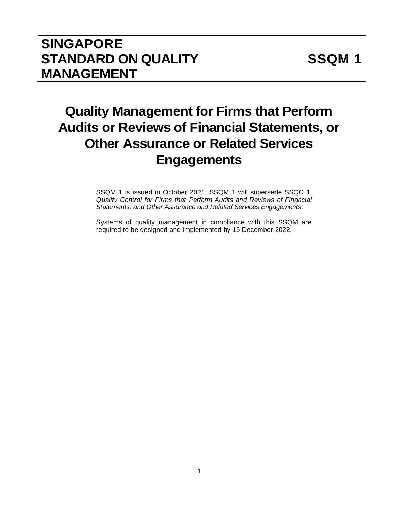# **SINGAPORE STANDARD ON QUALITY MANAGEMENT**

# **Quality Management for Firms that Perform Audits or Reviews of Financial Statements, or Other Assurance or Related Services Engagements**

SSQM 1 is issued in October 2021. SSQM 1 will supersede SSQC 1, *Quality Control for Firms that Perform Audits and Reviews of Financial Statements, and Other Assurance and Related Services Engagements*.

Systems of quality management in compliance with this SSQM are required to be designed and implemented by 15 December 2022.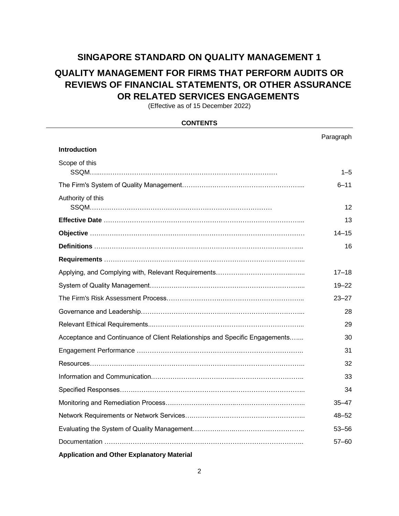## **SINGAPORE STANDARD ON QUALITY MANAGEMENT 1**

## **QUALITY MANAGEMENT FOR FIRMS THAT PERFORM AUDITS OR REVIEWS OF FINANCIAL STATEMENTS, OR OTHER ASSURANCE OR RELATED SERVICES ENGAGEMENTS**

(Effective as of 15 December 2022)

| <b>CONTENTS</b>                                                             |           |  |
|-----------------------------------------------------------------------------|-----------|--|
|                                                                             | Paragraph |  |
| <b>Introduction</b>                                                         |           |  |
| Scope of this                                                               | $1 - 5$   |  |
|                                                                             | $6 - 11$  |  |
| Authority of this                                                           | 12        |  |
|                                                                             | 13        |  |
|                                                                             | 14–15     |  |
|                                                                             | 16        |  |
|                                                                             |           |  |
|                                                                             | $17 - 18$ |  |
|                                                                             | $19 - 22$ |  |
|                                                                             | $23 - 27$ |  |
|                                                                             | 28        |  |
| 29                                                                          |           |  |
| Acceptance and Continuance of Client Relationships and Specific Engagements | 30        |  |
|                                                                             | 31        |  |
|                                                                             | 32        |  |
|                                                                             | 33        |  |
|                                                                             | 34        |  |
|                                                                             | $35 - 47$ |  |
|                                                                             | $48 - 52$ |  |
|                                                                             | $53 - 56$ |  |
|                                                                             | $57 - 60$ |  |
|                                                                             |           |  |

#### **Application and Other Explanatory Material**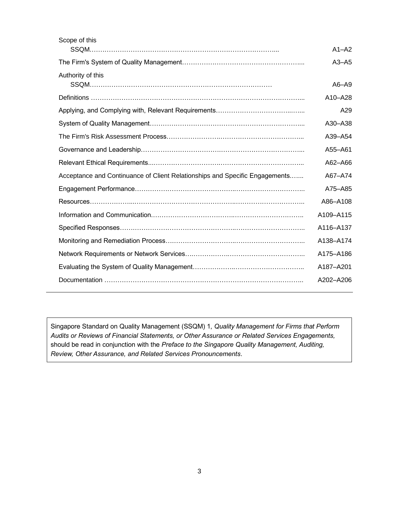| Scope of this                                                               |           |
|-----------------------------------------------------------------------------|-----------|
|                                                                             | $A1 - A2$ |
|                                                                             | $A3 - A5$ |
| Authority of this                                                           | $A6 - A9$ |
|                                                                             | A10-A28   |
|                                                                             | A29       |
|                                                                             | A30-A38   |
|                                                                             | A39-A54   |
|                                                                             | A55-A61   |
|                                                                             | A62-A66   |
| Acceptance and Continuance of Client Relationships and Specific Engagements | A67-A74   |
|                                                                             | A75-A85   |
|                                                                             | A86-A108  |
|                                                                             | A109-A115 |
|                                                                             | A116-A137 |
|                                                                             | A138-A174 |
|                                                                             | A175-A186 |
|                                                                             | A187-A201 |
|                                                                             | A202-A206 |
|                                                                             |           |

Singapore Standard on Quality Management (SSQM) 1, *Quality Management for Firms that Perform Audits or Reviews of Financial Statements, or Other Assurance or Related Services Engagements,*  should be read in conjunction with the *Preface to the Singapore Quality Management, Auditing, Review, Other Assurance, and Related Services Pronouncements*.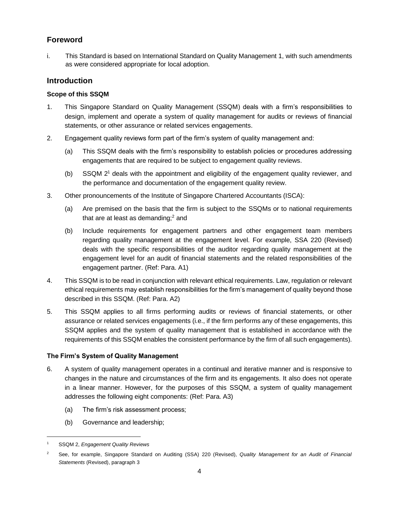## **Foreword**

i. This Standard is based on International Standard on Quality Management 1, with such amendments as were considered appropriate for local adoption.

## **Introduction**

## **Scope of this SSQM**

- 1. This Singapore Standard on Quality Management (SSQM) deals with a firm's responsibilities to design, implement and operate a system of quality management for audits or reviews of financial statements, or other assurance or related services engagements.
- 2. Engagement quality reviews form part of the firm's system of quality management and:
	- (a) This SSQM deals with the firm's responsibility to establish policies or procedures addressing engagements that are required to be subject to engagement quality reviews.
	- (b) SSQM 2<sup>1</sup> deals with the appointment and eligibility of the engagement quality reviewer, and the performance and documentation of the engagement quality review.
- 3. Other pronouncements of the Institute of Singapore Chartered Accountants (ISCA):
	- (a) Are premised on the basis that the firm is subject to the SSQMs or to national requirements that are at least as demanding; $<sup>2</sup>$  and</sup>
	- (b) Include requirements for engagement partners and other engagement team members regarding quality management at the engagement level. For example, SSA 220 (Revised) deals with the specific responsibilities of the auditor regarding quality management at the engagement level for an audit of financial statements and the related responsibilities of the engagement partner. (Ref: Para. A1)
- 4. This SSQM is to be read in conjunction with relevant ethical requirements. Law, regulation or relevant ethical requirements may establish responsibilities for the firm's management of quality beyond those described in this SSQM. (Ref: Para. A2)
- 5. This SSQM applies to all firms performing audits or reviews of financial statements, or other assurance or related services engagements (i.e., if the firm performs any of these engagements, this SSQM applies and the system of quality management that is established in accordance with the requirements of this SSQM enables the consistent performance by the firm of all such engagements).

## **The Firm's System of Quality Management**

- 6. A system of quality management operates in a continual and iterative manner and is responsive to changes in the nature and circumstances of the firm and its engagements. It also does not operate in a linear manner. However, for the purposes of this SSQM, a system of quality management addresses the following eight components: (Ref: Para. A3)
	- (a) The firm's risk assessment process;
	- (b) Governance and leadership;

<sup>1</sup> SSQM 2, *Engagement Quality Reviews*

<sup>2</sup> See, for example, Singapore Standard on Auditing (SSA) 220 (Revised), *Quality Management for an Audit of Financial Statements* (Revised), paragraph 3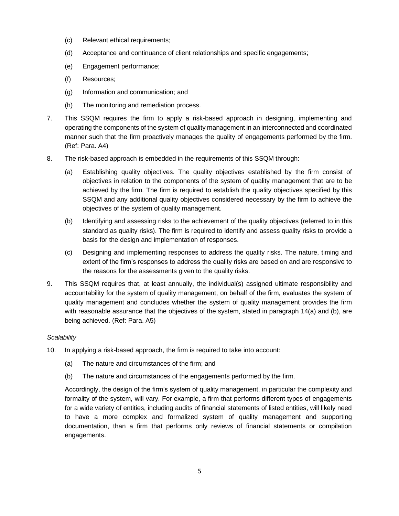- (c) Relevant ethical requirements;
- (d) Acceptance and continuance of client relationships and specific engagements;
- (e) Engagement performance;
- (f) Resources;
- (g) Information and communication; and
- (h) The monitoring and remediation process.
- 7. This SSQM requires the firm to apply a risk-based approach in designing, implementing and operating the components of the system of quality management in an interconnected and coordinated manner such that the firm proactively manages the quality of engagements performed by the firm. (Ref: Para. A4)
- 8. The risk-based approach is embedded in the requirements of this SSQM through:
	- (a) Establishing quality objectives. The quality objectives established by the firm consist of objectives in relation to the components of the system of quality management that are to be achieved by the firm. The firm is required to establish the quality objectives specified by this SSQM and any additional quality objectives considered necessary by the firm to achieve the objectives of the system of quality management.
	- (b) Identifying and assessing risks to the achievement of the quality objectives (referred to in this standard as quality risks). The firm is required to identify and assess quality risks to provide a basis for the design and implementation of responses.
	- (c) Designing and implementing responses to address the quality risks. The nature, timing and extent of the firm's responses to address the quality risks are based on and are responsive to the reasons for the assessments given to the quality risks.
- 9. This SSQM requires that, at least annually, the individual(s) assigned ultimate responsibility and accountability for the system of quality management, on behalf of the firm, evaluates the system of quality management and concludes whether the system of quality management provides the firm with reasonable assurance that the objectives of the system, stated in paragraph 14(a) and (b), are being achieved. (Ref: Para. A5)

## *Scalability*

- 10. In applying a risk-based approach, the firm is required to take into account:
	- (a) The nature and circumstances of the firm; and
	- (b) The nature and circumstances of the engagements performed by the firm.

Accordingly, the design of the firm's system of quality management, in particular the complexity and formality of the system, will vary. For example, a firm that performs different types of engagements for a wide variety of entities, including audits of financial statements of listed entities, will likely need to have a more complex and formalized system of quality management and supporting documentation, than a firm that performs only reviews of financial statements or compilation engagements.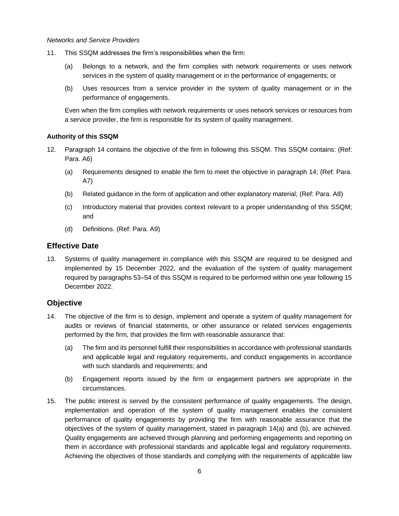#### *Networks and Service Providers*

- 11. This SSQM addresses the firm's responsibilities when the firm:
	- (a) Belongs to a network, and the firm complies with network requirements or uses network services in the system of quality management or in the performance of engagements; or
	- (b) Uses resources from a service provider in the system of quality management or in the performance of engagements.

Even when the firm complies with network requirements or uses network services or resources from a service provider, the firm is responsible for its system of quality management.

## **Authority of this SSQM**

- 12. Paragraph 14 contains the objective of the firm in following this SSQM. This SSQM contains: (Ref: Para. A6)
	- (a) Requirements designed to enable the firm to meet the objective in paragraph 14; (Ref: Para. A7)
	- (b) Related guidance in the form of application and other explanatory material; (Ref: Para. A8)
	- (c) Introductory material that provides context relevant to a proper understanding of this SSQM; and
	- (d) Definitions. (Ref: Para. A9)

## **Effective Date**

13. Systems of quality management in compliance with this SSQM are required to be designed and implemented by 15 December 2022, and the evaluation of the system of quality management required by paragraphs 53–54 of this SSQM is required to be performed within one year following 15 December 2022.

## **Objective**

- 14. The objective of the firm is to design, implement and operate a system of quality management for audits or reviews of financial statements, or other assurance or related services engagements performed by the firm, that provides the firm with reasonable assurance that:
	- (a) The firm and its personnel fulfill their responsibilities in accordance with professional standards and applicable legal and regulatory requirements, and conduct engagements in accordance with such standards and requirements; and
	- (b) Engagement reports issued by the firm or engagement partners are appropriate in the circumstances.
- 15. The public interest is served by the consistent performance of quality engagements. The design, implementation and operation of the system of quality management enables the consistent performance of quality engagements by providing the firm with reasonable assurance that the objectives of the system of quality management, stated in paragraph 14(a) and (b), are achieved. Quality engagements are achieved through planning and performing engagements and reporting on them in accordance with professional standards and applicable legal and regulatory requirements. Achieving the objectives of those standards and complying with the requirements of applicable law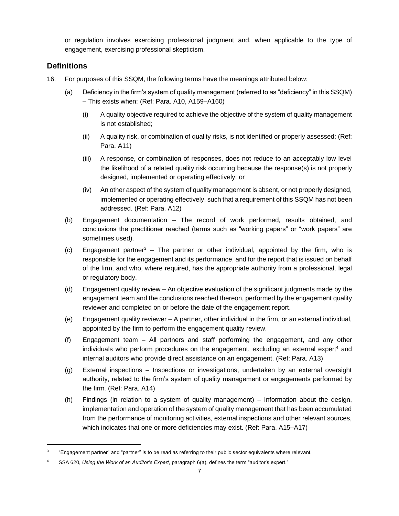or regulation involves exercising professional judgment and, when applicable to the type of engagement, exercising professional skepticism.

## **Definitions**

- 16. For purposes of this SSQM, the following terms have the meanings attributed below:
	- (a) Deficiency in the firm's system of quality management (referred to as "deficiency" in this SSQM) – This exists when: (Ref: Para. A10, A159–A160)
		- (i) A quality objective required to achieve the objective of the system of quality management is not established;
		- (ii) A quality risk, or combination of quality risks, is not identified or properly assessed; (Ref: Para. A11)
		- (iii) A response, or combination of responses, does not reduce to an acceptably low level the likelihood of a related quality risk occurring because the response(s) is not properly designed, implemented or operating effectively; or
		- (iv) An other aspect of the system of quality management is absent, or not properly designed, implemented or operating effectively, such that a requirement of this SSQM has not been addressed. (Ref: Para. A12)
	- (b) Engagement documentation The record of work performed, results obtained, and conclusions the practitioner reached (terms such as "working papers" or "work papers" are sometimes used).
	- (c) Engagement partner<sup>3</sup> The partner or other individual, appointed by the firm, who is responsible for the engagement and its performance, and for the report that is issued on behalf of the firm, and who, where required, has the appropriate authority from a professional, legal or regulatory body.
	- (d) Engagement quality review An objective evaluation of the significant judgments made by the engagement team and the conclusions reached thereon, performed by the engagement quality reviewer and completed on or before the date of the engagement report.
	- (e) Engagement quality reviewer A partner, other individual in the firm, or an external individual, appointed by the firm to perform the engagement quality review.
	- (f) Engagement team All partners and staff performing the engagement, and any other individuals who perform procedures on the engagement, excluding an external expert<sup>4</sup> and internal auditors who provide direct assistance on an engagement. (Ref: Para. A13)
	- (g) External inspections Inspections or investigations, undertaken by an external oversight authority, related to the firm's system of quality management or engagements performed by the firm. (Ref: Para. A14)
	- (h) Findings (in relation to a system of quality management) Information about the design, implementation and operation of the system of quality management that has been accumulated from the performance of monitoring activities, external inspections and other relevant sources, which indicates that one or more deficiencies may exist. (Ref: Para. A15–A17)

<sup>3</sup> "Engagement partner" and "partner" is to be read as referring to their public sector equivalents where relevant.

<sup>4</sup> SSA 620, *Using the Work of an Auditor's Expert*, paragraph 6(a), defines the term "auditor's expert."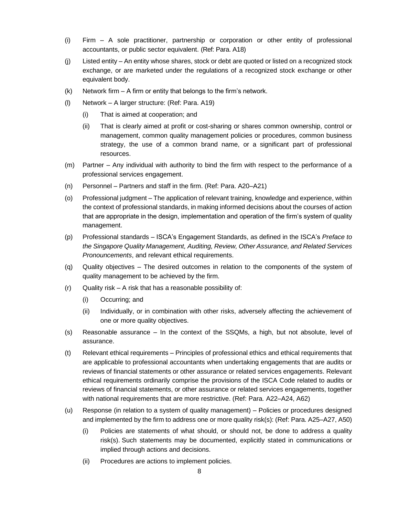- (i) Firm A sole practitioner, partnership or corporation or other entity of professional accountants, or public sector equivalent. (Ref: Para. A18)
- (j) Listed entity An entity whose shares, stock or debt are quoted or listed on a recognized stock exchange, or are marketed under the regulations of a recognized stock exchange or other equivalent body.
- $(k)$  Network firm A firm or entity that belongs to the firm's network.
- (l) Network A larger structure: (Ref: Para. A19)
	- (i) That is aimed at cooperation; and
	- (ii) That is clearly aimed at profit or cost-sharing or shares common ownership, control or management, common quality management policies or procedures, common business strategy, the use of a common brand name, or a significant part of professional resources.
- (m) Partner Any individual with authority to bind the firm with respect to the performance of a professional services engagement.
- (n) Personnel Partners and staff in the firm. (Ref: Para. A20–A21)
- (o) Professional judgment The application of relevant training, knowledge and experience, within the context of professional standards, in making informed decisions about the courses of action that are appropriate in the design, implementation and operation of the firm's system of quality management.
- (p) Professional standards ISCA's Engagement Standards, as defined in the ISCA's *Preface to the Singapore Quality Management, Auditing, Review, Other Assurance, and Related Services Pronouncements*, and relevant ethical requirements.
- (q) Quality objectives The desired outcomes in relation to the components of the system of quality management to be achieved by the firm.
- $(r)$  Quality risk A risk that has a reasonable possibility of:
	- (i) Occurring; and
	- (ii) Individually, or in combination with other risks, adversely affecting the achievement of one or more quality objectives.
- (s) Reasonable assurance In the context of the SSQMs, a high, but not absolute, level of assurance.
- (t) Relevant ethical requirements Principles of professional ethics and ethical requirements that are applicable to professional accountants when undertaking engagements that are audits or reviews of financial statements or other assurance or related services engagements. Relevant ethical requirements ordinarily comprise the provisions of the ISCA Code related to audits or reviews of financial statements, or other assurance or related services engagements, together with national requirements that are more restrictive. (Ref: Para. A22–A24, A62)
- (u) Response (in relation to a system of quality management) Policies or procedures designed and implemented by the firm to address one or more quality risk(s): (Ref: Para. A25–A27, A50)
	- (i) Policies are statements of what should, or should not, be done to address a quality risk(s). Such statements may be documented, explicitly stated in communications or implied through actions and decisions.
	- (ii) Procedures are actions to implement policies.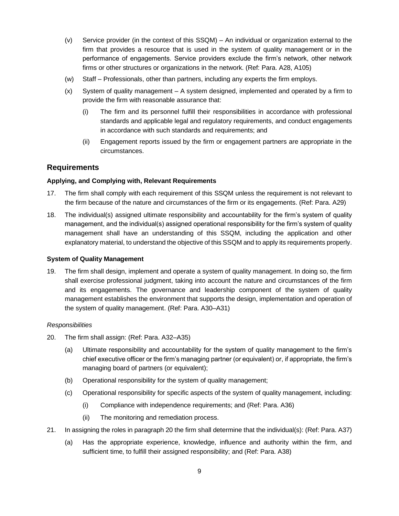- (v) Service provider (in the context of this SSQM) An individual or organization external to the firm that provides a resource that is used in the system of quality management or in the performance of engagements. Service providers exclude the firm's network, other network firms or other structures or organizations in the network. (Ref: Para. A28, A105)
- (w) Staff Professionals, other than partners, including any experts the firm employs.
- (x) System of quality management A system designed, implemented and operated by a firm to provide the firm with reasonable assurance that:
	- (i) The firm and its personnel fulfill their responsibilities in accordance with professional standards and applicable legal and regulatory requirements, and conduct engagements in accordance with such standards and requirements; and
	- (ii) Engagement reports issued by the firm or engagement partners are appropriate in the circumstances.

#### **Requirements**

#### **Applying, and Complying with, Relevant Requirements**

- 17. The firm shall comply with each requirement of this SSQM unless the requirement is not relevant to the firm because of the nature and circumstances of the firm or its engagements. (Ref: Para. A29)
- 18. The individual(s) assigned ultimate responsibility and accountability for the firm's system of quality management, and the individual(s) assigned operational responsibility for the firm's system of quality management shall have an understanding of this SSQM, including the application and other explanatory material, to understand the objective of this SSQM and to apply its requirements properly.

#### **System of Quality Management**

19. The firm shall design, implement and operate a system of quality management. In doing so, the firm shall exercise professional judgment, taking into account the nature and circumstances of the firm and its engagements. The governance and leadership component of the system of quality management establishes the environment that supports the design, implementation and operation of the system of quality management. (Ref: Para. A30–A31)

#### *Responsibilities*

- 20. The firm shall assign: (Ref: Para. A32–A35)
	- (a) Ultimate responsibility and accountability for the system of quality management to the firm's chief executive officer or the firm's managing partner (or equivalent) or, if appropriate, the firm's managing board of partners (or equivalent);
	- (b) Operational responsibility for the system of quality management;
	- (c) Operational responsibility for specific aspects of the system of quality management, including:
		- (i) Compliance with independence requirements; and (Ref: Para. A36)
		- (ii) The monitoring and remediation process.
- 21. In assigning the roles in paragraph 20 the firm shall determine that the individual(s): (Ref: Para. A37)
	- (a) Has the appropriate experience, knowledge, influence and authority within the firm, and sufficient time, to fulfill their assigned responsibility; and (Ref: Para. A38)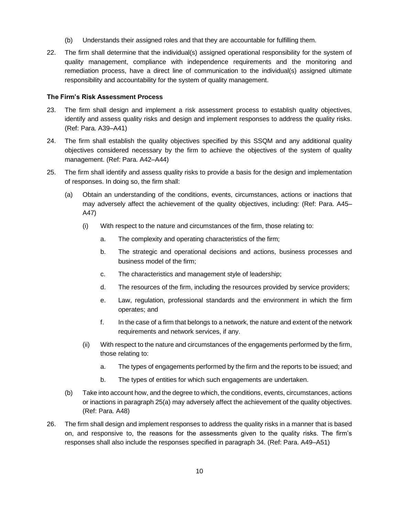- (b) Understands their assigned roles and that they are accountable for fulfilling them.
- 22. The firm shall determine that the individual(s) assigned operational responsibility for the system of quality management, compliance with independence requirements and the monitoring and remediation process, have a direct line of communication to the individual(s) assigned ultimate responsibility and accountability for the system of quality management.

#### **The Firm's Risk Assessment Process**

- 23. The firm shall design and implement a risk assessment process to establish quality objectives, identify and assess quality risks and design and implement responses to address the quality risks. (Ref: Para. A39–A41)
- 24. The firm shall establish the quality objectives specified by this SSQM and any additional quality objectives considered necessary by the firm to achieve the objectives of the system of quality management. (Ref: Para. A42–A44)
- 25. The firm shall identify and assess quality risks to provide a basis for the design and implementation of responses. In doing so, the firm shall:
	- (a) Obtain an understanding of the conditions, events, circumstances, actions or inactions that may adversely affect the achievement of the quality objectives, including: (Ref: Para. A45– A47)
		- (i) With respect to the nature and circumstances of the firm, those relating to:
			- a. The complexity and operating characteristics of the firm;
			- b. The strategic and operational decisions and actions, business processes and business model of the firm;
			- c. The characteristics and management style of leadership;
			- d. The resources of the firm, including the resources provided by service providers;
			- e. Law, regulation, professional standards and the environment in which the firm operates; and
			- f. In the case of a firm that belongs to a network, the nature and extent of the network requirements and network services, if any.
		- (ii) With respect to the nature and circumstances of the engagements performed by the firm, those relating to:
			- a. The types of engagements performed by the firm and the reports to be issued; and
			- b. The types of entities for which such engagements are undertaken.
	- (b) Take into account how, and the degree to which, the conditions, events, circumstances, actions or inactions in paragraph 25(a) may adversely affect the achievement of the quality objectives. (Ref: Para. A48)
- 26. The firm shall design and implement responses to address the quality risks in a manner that is based on, and responsive to, the reasons for the assessments given to the quality risks. The firm's responses shall also include the responses specified in paragraph 34. (Ref: Para. A49–A51)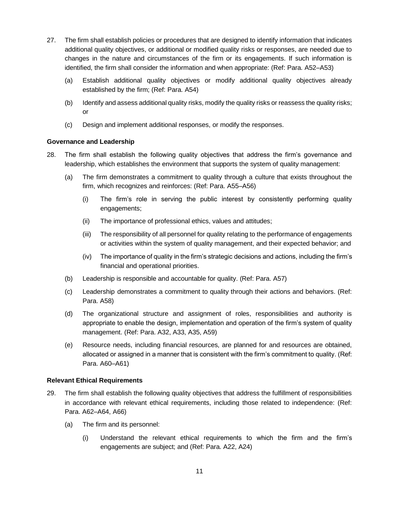- 27. The firm shall establish policies or procedures that are designed to identify information that indicates additional quality objectives, or additional or modified quality risks or responses, are needed due to changes in the nature and circumstances of the firm or its engagements. If such information is identified, the firm shall consider the information and when appropriate: (Ref: Para. A52–A53)
	- (a) Establish additional quality objectives or modify additional quality objectives already established by the firm; (Ref: Para. A54)
	- (b) Identify and assess additional quality risks, modify the quality risks or reassess the quality risks; or
	- (c) Design and implement additional responses, or modify the responses.

#### **Governance and Leadership**

- 28. The firm shall establish the following quality objectives that address the firm's governance and leadership, which establishes the environment that supports the system of quality management:
	- (a) The firm demonstrates a commitment to quality through a culture that exists throughout the firm, which recognizes and reinforces: (Ref: Para. A55–A56)
		- (i) The firm's role in serving the public interest by consistently performing quality engagements;
		- (ii) The importance of professional ethics, values and attitudes;
		- (iii) The responsibility of all personnel for quality relating to the performance of engagements or activities within the system of quality management, and their expected behavior; and
		- (iv) The importance of quality in the firm's strategic decisions and actions, including the firm's financial and operational priorities.
	- (b) Leadership is responsible and accountable for quality. (Ref: Para. A57)
	- (c) Leadership demonstrates a commitment to quality through their actions and behaviors. (Ref: Para. A58)
	- (d) The organizational structure and assignment of roles, responsibilities and authority is appropriate to enable the design, implementation and operation of the firm's system of quality management. (Ref: Para. A32, A33, A35, A59)
	- (e) Resource needs, including financial resources, are planned for and resources are obtained, allocated or assigned in a manner that is consistent with the firm's commitment to quality. (Ref: Para. A60–A61)

#### **Relevant Ethical Requirements**

- 29. The firm shall establish the following quality objectives that address the fulfillment of responsibilities in accordance with relevant ethical requirements, including those related to independence: (Ref: Para. A62–A64, A66)
	- (a) The firm and its personnel:
		- (i) Understand the relevant ethical requirements to which the firm and the firm's engagements are subject; and (Ref: Para. A22, A24)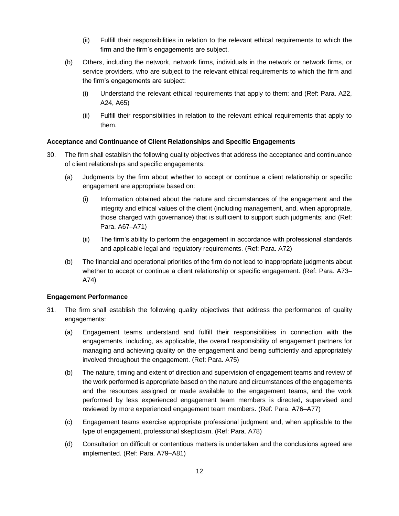- (ii) Fulfill their responsibilities in relation to the relevant ethical requirements to which the firm and the firm's engagements are subject.
- (b) Others, including the network, network firms, individuals in the network or network firms, or service providers, who are subject to the relevant ethical requirements to which the firm and the firm's engagements are subject:
	- (i) Understand the relevant ethical requirements that apply to them; and (Ref: Para. A22, A24, A65)
	- (ii) Fulfill their responsibilities in relation to the relevant ethical requirements that apply to them.

#### **Acceptance and Continuance of Client Relationships and Specific Engagements**

- 30. The firm shall establish the following quality objectives that address the acceptance and continuance of client relationships and specific engagements:
	- (a) Judgments by the firm about whether to accept or continue a client relationship or specific engagement are appropriate based on:
		- (i) Information obtained about the nature and circumstances of the engagement and the integrity and ethical values of the client (including management, and, when appropriate, those charged with governance) that is sufficient to support such judgments; and (Ref: Para. A67–A71)
		- (ii) The firm's ability to perform the engagement in accordance with professional standards and applicable legal and regulatory requirements. (Ref: Para. A72)
	- (b) The financial and operational priorities of the firm do not lead to inappropriate judgments about whether to accept or continue a client relationship or specific engagement. (Ref: Para. A73– A74)

#### **Engagement Performance**

- 31. The firm shall establish the following quality objectives that address the performance of quality engagements:
	- (a) Engagement teams understand and fulfill their responsibilities in connection with the engagements, including, as applicable, the overall responsibility of engagement partners for managing and achieving quality on the engagement and being sufficiently and appropriately involved throughout the engagement. (Ref: Para. A75)
	- (b) The nature, timing and extent of direction and supervision of engagement teams and review of the work performed is appropriate based on the nature and circumstances of the engagements and the resources assigned or made available to the engagement teams, and the work performed by less experienced engagement team members is directed, supervised and reviewed by more experienced engagement team members. (Ref: Para. A76–A77)
	- (c) Engagement teams exercise appropriate professional judgment and, when applicable to the type of engagement, professional skepticism. (Ref: Para. A78)
	- (d) Consultation on difficult or contentious matters is undertaken and the conclusions agreed are implemented. (Ref: Para. A79–A81)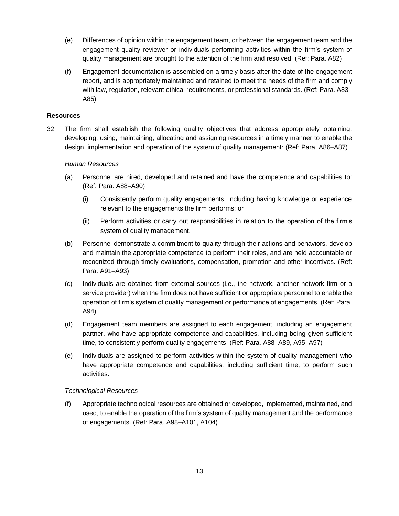- (e) Differences of opinion within the engagement team, or between the engagement team and the engagement quality reviewer or individuals performing activities within the firm's system of quality management are brought to the attention of the firm and resolved. (Ref: Para. A82)
- (f) Engagement documentation is assembled on a timely basis after the date of the engagement report, and is appropriately maintained and retained to meet the needs of the firm and comply with law, regulation, relevant ethical requirements, or professional standards. (Ref: Para. A83– A85)

#### **Resources**

32. The firm shall establish the following quality objectives that address appropriately obtaining, developing, using, maintaining, allocating and assigning resources in a timely manner to enable the design, implementation and operation of the system of quality management: (Ref: Para. A86–A87)

#### *Human Resources*

- (a) Personnel are hired, developed and retained and have the competence and capabilities to: (Ref: Para. A88–A90)
	- (i) Consistently perform quality engagements, including having knowledge or experience relevant to the engagements the firm performs; or
	- (ii) Perform activities or carry out responsibilities in relation to the operation of the firm's system of quality management.
- (b) Personnel demonstrate a commitment to quality through their actions and behaviors, develop and maintain the appropriate competence to perform their roles, and are held accountable or recognized through timely evaluations, compensation, promotion and other incentives. (Ref: Para. A91–A93)
- (c) Individuals are obtained from external sources (i.e., the network, another network firm or a service provider) when the firm does not have sufficient or appropriate personnel to enable the operation of firm's system of quality management or performance of engagements. (Ref: Para. A94)
- (d) Engagement team members are assigned to each engagement, including an engagement partner, who have appropriate competence and capabilities, including being given sufficient time, to consistently perform quality engagements. (Ref: Para. A88–A89, A95–A97)
- (e) Individuals are assigned to perform activities within the system of quality management who have appropriate competence and capabilities, including sufficient time, to perform such activities.

#### *Technological Resources*

(f) Appropriate technological resources are obtained or developed, implemented, maintained, and used, to enable the operation of the firm's system of quality management and the performance of engagements. (Ref: Para. A98–A101, A104)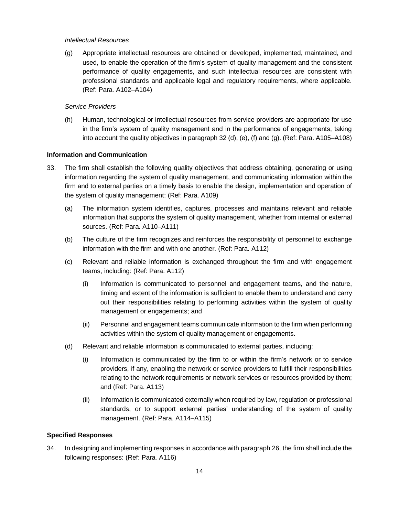#### *Intellectual Resources*

(g) Appropriate intellectual resources are obtained or developed, implemented, maintained, and used, to enable the operation of the firm's system of quality management and the consistent performance of quality engagements, and such intellectual resources are consistent with professional standards and applicable legal and regulatory requirements, where applicable. (Ref: Para. A102–A104)

#### *Service Providers*

(h) Human, technological or intellectual resources from service providers are appropriate for use in the firm's system of quality management and in the performance of engagements, taking into account the quality objectives in paragraph 32 (d), (e), (f) and (g). (Ref: Para. A105–A108)

#### **Information and Communication**

- 33. The firm shall establish the following quality objectives that address obtaining, generating or using information regarding the system of quality management, and communicating information within the firm and to external parties on a timely basis to enable the design, implementation and operation of the system of quality management: (Ref: Para. A109)
	- (a) The information system identifies, captures, processes and maintains relevant and reliable information that supports the system of quality management, whether from internal or external sources. (Ref: Para. A110–A111)
	- (b) The culture of the firm recognizes and reinforces the responsibility of personnel to exchange information with the firm and with one another. (Ref: Para. A112)
	- (c) Relevant and reliable information is exchanged throughout the firm and with engagement teams, including: (Ref: Para. A112)
		- (i) Information is communicated to personnel and engagement teams, and the nature, timing and extent of the information is sufficient to enable them to understand and carry out their responsibilities relating to performing activities within the system of quality management or engagements; and
		- (ii) Personnel and engagement teams communicate information to the firm when performing activities within the system of quality management or engagements.
	- (d) Relevant and reliable information is communicated to external parties, including:
		- (i) Information is communicated by the firm to or within the firm's network or to service providers, if any, enabling the network or service providers to fulfill their responsibilities relating to the network requirements or network services or resources provided by them; and (Ref: Para. A113)
		- (ii) Information is communicated externally when required by law, regulation or professional standards, or to support external parties' understanding of the system of quality management. (Ref: Para. A114–A115)

#### **Specified Responses**

34. In designing and implementing responses in accordance with paragraph 26, the firm shall include the following responses: (Ref: Para. A116)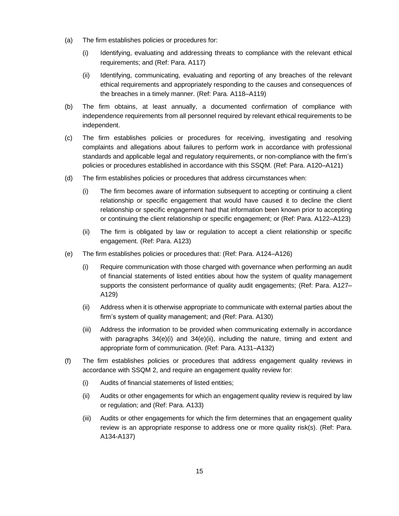- (a) The firm establishes policies or procedures for:
	- (i) Identifying, evaluating and addressing threats to compliance with the relevant ethical requirements; and (Ref: Para. A117)
	- (ii) Identifying, communicating, evaluating and reporting of any breaches of the relevant ethical requirements and appropriately responding to the causes and consequences of the breaches in a timely manner. (Ref: Para. A118–A119)
- (b) The firm obtains, at least annually, a documented confirmation of compliance with independence requirements from all personnel required by relevant ethical requirements to be independent.
- (c) The firm establishes policies or procedures for receiving, investigating and resolving complaints and allegations about failures to perform work in accordance with professional standards and applicable legal and regulatory requirements, or non-compliance with the firm's policies or procedures established in accordance with this SSQM. (Ref: Para. A120–A121)
- (d) The firm establishes policies or procedures that address circumstances when:
	- (i) The firm becomes aware of information subsequent to accepting or continuing a client relationship or specific engagement that would have caused it to decline the client relationship or specific engagement had that information been known prior to accepting or continuing the client relationship or specific engagement; or (Ref: Para. A122–A123)
	- (ii) The firm is obligated by law or regulation to accept a client relationship or specific engagement. (Ref: Para. A123)
- (e) The firm establishes policies or procedures that: (Ref: Para. A124–A126)
	- (i) Require communication with those charged with governance when performing an audit of financial statements of listed entities about how the system of quality management supports the consistent performance of quality audit engagements; (Ref: Para. A127– A129)
	- (ii) Address when it is otherwise appropriate to communicate with external parties about the firm's system of quality management; and (Ref: Para. A130)
	- (iii) Address the information to be provided when communicating externally in accordance with paragraphs  $34(e)(i)$  and  $34(e)(ii)$ , including the nature, timing and extent and appropriate form of communication. (Ref: Para. A131–A132)
- (f) The firm establishes policies or procedures that address engagement quality reviews in accordance with SSQM 2, and require an engagement quality review for:
	- (i) Audits of financial statements of listed entities;
	- (ii) Audits or other engagements for which an engagement quality review is required by law or regulation; and (Ref: Para. A133)
	- (iii) Audits or other engagements for which the firm determines that an engagement quality review is an appropriate response to address one or more quality risk(s). (Ref: Para. A134-A137)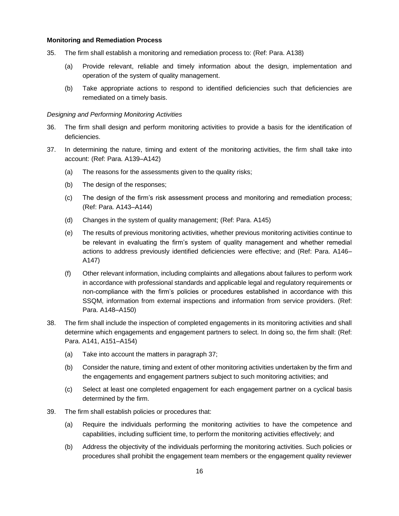#### **Monitoring and Remediation Process**

- 35. The firm shall establish a monitoring and remediation process to: (Ref: Para. A138)
	- (a) Provide relevant, reliable and timely information about the design, implementation and operation of the system of quality management.
	- (b) Take appropriate actions to respond to identified deficiencies such that deficiencies are remediated on a timely basis.

#### *Designing and Performing Monitoring Activities*

- 36. The firm shall design and perform monitoring activities to provide a basis for the identification of deficiencies.
- 37. In determining the nature, timing and extent of the monitoring activities, the firm shall take into account: (Ref: Para. A139–A142)
	- (a) The reasons for the assessments given to the quality risks;
	- (b) The design of the responses;
	- (c) The design of the firm's risk assessment process and monitoring and remediation process; (Ref: Para. A143–A144)
	- (d) Changes in the system of quality management; (Ref: Para. A145)
	- (e) The results of previous monitoring activities, whether previous monitoring activities continue to be relevant in evaluating the firm's system of quality management and whether remedial actions to address previously identified deficiencies were effective; and (Ref: Para. A146– A147)
	- (f) Other relevant information, including complaints and allegations about failures to perform work in accordance with professional standards and applicable legal and regulatory requirements or non-compliance with the firm's policies or procedures established in accordance with this SSQM, information from external inspections and information from service providers. (Ref: Para. A148–A150)
- 38. The firm shall include the inspection of completed engagements in its monitoring activities and shall determine which engagements and engagement partners to select. In doing so, the firm shall: (Ref: Para. A141, A151–A154)
	- (a) Take into account the matters in paragraph 37;
	- (b) Consider the nature, timing and extent of other monitoring activities undertaken by the firm and the engagements and engagement partners subject to such monitoring activities; and
	- (c) Select at least one completed engagement for each engagement partner on a cyclical basis determined by the firm.
- 39. The firm shall establish policies or procedures that:
	- (a) Require the individuals performing the monitoring activities to have the competence and capabilities, including sufficient time, to perform the monitoring activities effectively; and
	- (b) Address the objectivity of the individuals performing the monitoring activities. Such policies or procedures shall prohibit the engagement team members or the engagement quality reviewer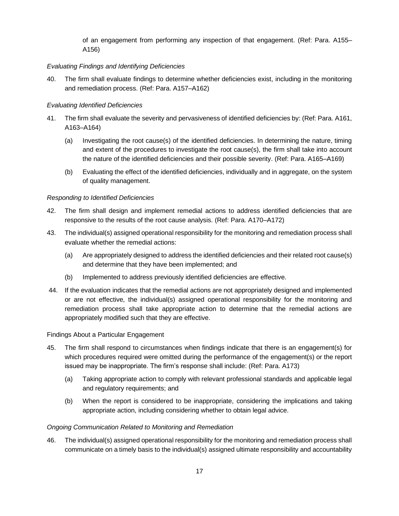of an engagement from performing any inspection of that engagement. (Ref: Para. A155– A156)

## *Evaluating Findings and Identifying Deficiencies*

40. The firm shall evaluate findings to determine whether deficiencies exist, including in the monitoring and remediation process. (Ref: Para. A157–A162)

#### *Evaluating Identified Deficiencies*

- 41. The firm shall evaluate the severity and pervasiveness of identified deficiencies by: (Ref: Para. A161, A163–A164)
	- (a) Investigating the root cause(s) of the identified deficiencies. In determining the nature, timing and extent of the procedures to investigate the root cause(s), the firm shall take into account the nature of the identified deficiencies and their possible severity. (Ref: Para. A165–A169)
	- (b) Evaluating the effect of the identified deficiencies, individually and in aggregate, on the system of quality management.

#### *Responding to Identified Deficiencies*

- 42. The firm shall design and implement remedial actions to address identified deficiencies that are responsive to the results of the root cause analysis. (Ref: Para. A170–A172)
- 43. The individual(s) assigned operational responsibility for the monitoring and remediation process shall evaluate whether the remedial actions:
	- (a) Are appropriately designed to address the identified deficiencies and their related root cause(s) and determine that they have been implemented; and
	- (b) Implemented to address previously identified deficiencies are effective.
- 44. If the evaluation indicates that the remedial actions are not appropriately designed and implemented or are not effective, the individual(s) assigned operational responsibility for the monitoring and remediation process shall take appropriate action to determine that the remedial actions are appropriately modified such that they are effective.

## Findings About a Particular Engagement

- 45. The firm shall respond to circumstances when findings indicate that there is an engagement(s) for which procedures required were omitted during the performance of the engagement(s) or the report issued may be inappropriate. The firm's response shall include: (Ref: Para. A173)
	- (a) Taking appropriate action to comply with relevant professional standards and applicable legal and regulatory requirements; and
	- (b) When the report is considered to be inappropriate, considering the implications and taking appropriate action, including considering whether to obtain legal advice.

#### *Ongoing Communication Related to Monitoring and Remediation*

46. The individual(s) assigned operational responsibility for the monitoring and remediation process shall communicate on a timely basis to the individual(s) assigned ultimate responsibility and accountability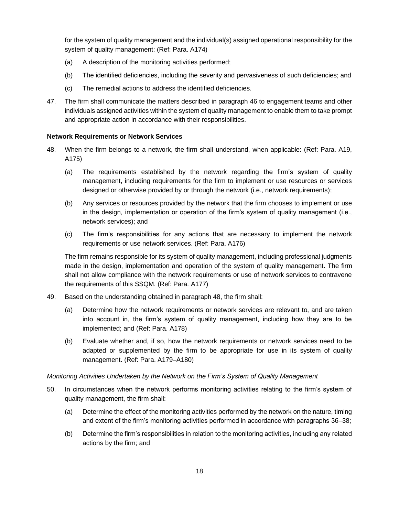for the system of quality management and the individual(s) assigned operational responsibility for the system of quality management: (Ref: Para. A174)

- (a) A description of the monitoring activities performed;
- (b) The identified deficiencies, including the severity and pervasiveness of such deficiencies; and
- (c) The remedial actions to address the identified deficiencies.
- 47. The firm shall communicate the matters described in paragraph 46 to engagement teams and other individuals assigned activities within the system of quality management to enable them to take prompt and appropriate action in accordance with their responsibilities.

#### **Network Requirements or Network Services**

- 48. When the firm belongs to a network, the firm shall understand, when applicable: (Ref: Para. A19, A175)
	- (a) The requirements established by the network regarding the firm's system of quality management, including requirements for the firm to implement or use resources or services designed or otherwise provided by or through the network (i.e., network requirements);
	- (b) Any services or resources provided by the network that the firm chooses to implement or use in the design, implementation or operation of the firm's system of quality management (i.e., network services); and
	- (c) The firm's responsibilities for any actions that are necessary to implement the network requirements or use network services. (Ref: Para. A176)

The firm remains responsible for its system of quality management, including professional judgments made in the design, implementation and operation of the system of quality management. The firm shall not allow compliance with the network requirements or use of network services to contravene the requirements of this SSQM. (Ref: Para. A177)

- 49. Based on the understanding obtained in paragraph 48, the firm shall:
	- (a) Determine how the network requirements or network services are relevant to, and are taken into account in, the firm's system of quality management, including how they are to be implemented; and (Ref: Para. A178)
	- (b) Evaluate whether and, if so, how the network requirements or network services need to be adapted or supplemented by the firm to be appropriate for use in its system of quality management. (Ref: Para. A179–A180)

#### *Monitoring Activities Undertaken by the Network on the Firm's System of Quality Management*

- 50. In circumstances when the network performs monitoring activities relating to the firm's system of quality management, the firm shall:
	- (a) Determine the effect of the monitoring activities performed by the network on the nature, timing and extent of the firm's monitoring activities performed in accordance with paragraphs 36–38;
	- (b) Determine the firm's responsibilities in relation to the monitoring activities, including any related actions by the firm; and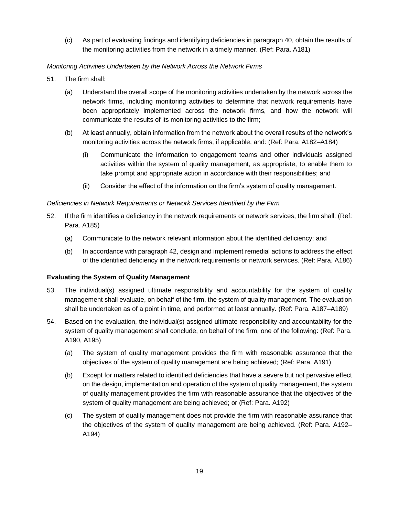(c) As part of evaluating findings and identifying deficiencies in paragraph 40, obtain the results of the monitoring activities from the network in a timely manner. (Ref: Para. A181)

## *Monitoring Activities Undertaken by the Network Across the Network Firms*

- 51. The firm shall:
	- (a) Understand the overall scope of the monitoring activities undertaken by the network across the network firms, including monitoring activities to determine that network requirements have been appropriately implemented across the network firms, and how the network will communicate the results of its monitoring activities to the firm;
	- (b) At least annually, obtain information from the network about the overall results of the network's monitoring activities across the network firms, if applicable, and: (Ref: Para. A182–A184)
		- (i) Communicate the information to engagement teams and other individuals assigned activities within the system of quality management, as appropriate, to enable them to take prompt and appropriate action in accordance with their responsibilities; and
		- (ii) Consider the effect of the information on the firm's system of quality management.

## *Deficiencies in Network Requirements or Network Services Identified by the Firm*

- 52. If the firm identifies a deficiency in the network requirements or network services, the firm shall: (Ref: Para. A185)
	- (a) Communicate to the network relevant information about the identified deficiency; and
	- (b) In accordance with paragraph 42, design and implement remedial actions to address the effect of the identified deficiency in the network requirements or network services. (Ref: Para. A186)

## **Evaluating the System of Quality Management**

- 53. The individual(s) assigned ultimate responsibility and accountability for the system of quality management shall evaluate, on behalf of the firm, the system of quality management. The evaluation shall be undertaken as of a point in time, and performed at least annually. (Ref: Para. A187–A189)
- 54. Based on the evaluation, the individual(s) assigned ultimate responsibility and accountability for the system of quality management shall conclude, on behalf of the firm, one of the following: (Ref: Para. A190, A195)
	- (a) The system of quality management provides the firm with reasonable assurance that the objectives of the system of quality management are being achieved; (Ref: Para. A191)
	- (b) Except for matters related to identified deficiencies that have a severe but not pervasive effect on the design, implementation and operation of the system of quality management, the system of quality management provides the firm with reasonable assurance that the objectives of the system of quality management are being achieved; or (Ref: Para. A192)
	- (c) The system of quality management does not provide the firm with reasonable assurance that the objectives of the system of quality management are being achieved. (Ref: Para. A192– A194)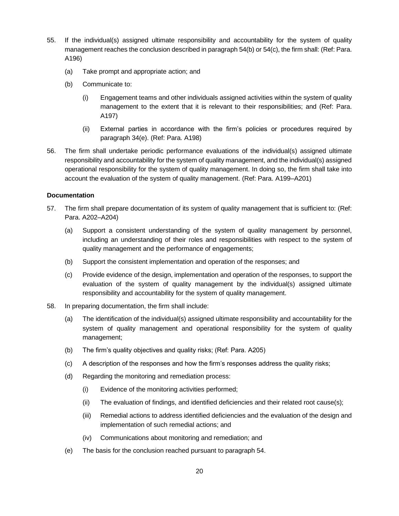- 55. If the individual(s) assigned ultimate responsibility and accountability for the system of quality management reaches the conclusion described in paragraph 54(b) or 54(c), the firm shall: (Ref: Para. A196)
	- (a) Take prompt and appropriate action; and
	- (b) Communicate to:
		- (i) Engagement teams and other individuals assigned activities within the system of quality management to the extent that it is relevant to their responsibilities; and (Ref: Para. A197)
		- (ii) External parties in accordance with the firm's policies or procedures required by paragraph 34(e). (Ref: Para. A198)
- 56. The firm shall undertake periodic performance evaluations of the individual(s) assigned ultimate responsibility and accountability for the system of quality management, and the individual(s) assigned operational responsibility for the system of quality management. In doing so, the firm shall take into account the evaluation of the system of quality management. (Ref: Para. A199–A201)

#### **Documentation**

- 57. The firm shall prepare documentation of its system of quality management that is sufficient to: (Ref: Para. A202–A204)
	- (a) Support a consistent understanding of the system of quality management by personnel, including an understanding of their roles and responsibilities with respect to the system of quality management and the performance of engagements;
	- (b) Support the consistent implementation and operation of the responses; and
	- (c) Provide evidence of the design, implementation and operation of the responses, to support the evaluation of the system of quality management by the individual(s) assigned ultimate responsibility and accountability for the system of quality management.
- 58. In preparing documentation, the firm shall include:
	- (a) The identification of the individual(s) assigned ultimate responsibility and accountability for the system of quality management and operational responsibility for the system of quality management;
	- (b) The firm's quality objectives and quality risks; (Ref: Para. A205)
	- (c) A description of the responses and how the firm's responses address the quality risks;
	- (d) Regarding the monitoring and remediation process:
		- (i) Evidence of the monitoring activities performed;
		- (ii) The evaluation of findings, and identified deficiencies and their related root cause(s);
		- (iii) Remedial actions to address identified deficiencies and the evaluation of the design and implementation of such remedial actions; and
		- (iv) Communications about monitoring and remediation; and
	- (e) The basis for the conclusion reached pursuant to paragraph 54.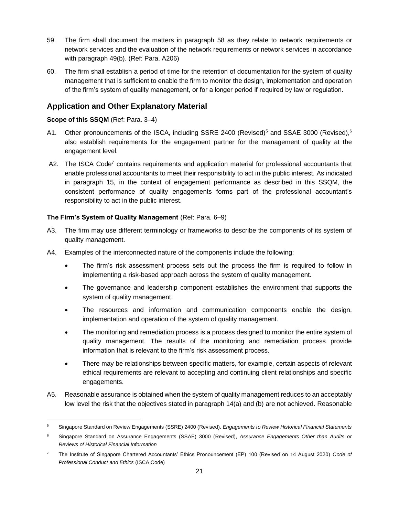- 59. The firm shall document the matters in paragraph 58 as they relate to network requirements or network services and the evaluation of the network requirements or network services in accordance with paragraph 49(b). (Ref: Para. A206)
- 60. The firm shall establish a period of time for the retention of documentation for the system of quality management that is sufficient to enable the firm to monitor the design, implementation and operation of the firm's system of quality management, or for a longer period if required by law or regulation.

## **Application and Other Explanatory Material**

## **Scope of this SSQM** (Ref: Para. 3–4)

- A1. Other pronouncements of the ISCA, including SSRE 2400 (Revised)<sup>5</sup> and SSAE 3000 (Revised),<sup>6</sup> also establish requirements for the engagement partner for the management of quality at the engagement level.
- A2. The ISCA Code<sup>7</sup> contains requirements and application material for professional accountants that enable professional accountants to meet their responsibility to act in the public interest. As indicated in paragraph 15, in the context of engagement performance as described in this SSQM, the consistent performance of quality engagements forms part of the professional accountant's responsibility to act in the public interest.

## **The Firm's System of Quality Management** (Ref: Para. 6–9)

- A3. The firm may use different terminology or frameworks to describe the components of its system of quality management.
- A4. Examples of the interconnected nature of the components include the following:
	- The firm's risk assessment process sets out the process the firm is required to follow in implementing a risk-based approach across the system of quality management.
	- The governance and leadership component establishes the environment that supports the system of quality management.
	- The resources and information and communication components enable the design, implementation and operation of the system of quality management.
	- The monitoring and remediation process is a process designed to monitor the entire system of quality management. The results of the monitoring and remediation process provide information that is relevant to the firm's risk assessment process.
	- There may be relationships between specific matters, for example, certain aspects of relevant ethical requirements are relevant to accepting and continuing client relationships and specific engagements.
- A5. Reasonable assurance is obtained when the system of quality management reduces to an acceptably low level the risk that the objectives stated in paragraph 14(a) and (b) are not achieved. Reasonable

<sup>5</sup> Singapore Standard on Review Engagements (SSRE) 2400 (Revised), *Engagements to Review Historical Financial Statements*

<sup>6</sup> Singapore Standard on Assurance Engagements (SSAE) 3000 (Revised), *Assurance Engagements Other than Audits or Reviews of Historical Financial Information*

<sup>7</sup> The Institute of Singapore Chartered Accountants' Ethics Pronouncement (EP) 100 (Revised on 14 August 2020) *Code of Professional Conduct and Ethics* (ISCA Code)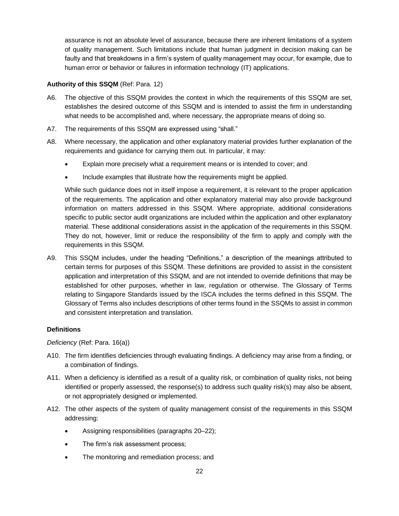assurance is not an absolute level of assurance, because there are inherent limitations of a system of quality management. Such limitations include that human judgment in decision making can be faulty and that breakdowns in a firm's system of quality management may occur, for example, due to human error or behavior or failures in information technology (IT) applications.

#### **Authority of this SSQM** (Ref: Para. 12)

- A6. The objective of this SSQM provides the context in which the requirements of this SSQM are set, establishes the desired outcome of this SSQM and is intended to assist the firm in understanding what needs to be accomplished and, where necessary, the appropriate means of doing so.
- A7. The requirements of this SSQM are expressed using "shall."
- A8. Where necessary, the application and other explanatory material provides further explanation of the requirements and guidance for carrying them out. In particular, it may:
	- Explain more precisely what a requirement means or is intended to cover; and
	- Include examples that illustrate how the requirements might be applied.

While such guidance does not in itself impose a requirement, it is relevant to the proper application of the requirements. The application and other explanatory material may also provide background information on matters addressed in this SSQM. Where appropriate, additional considerations specific to public sector audit organizations are included within the application and other explanatory material. These additional considerations assist in the application of the requirements in this SSQM. They do not, however, limit or reduce the responsibility of the firm to apply and comply with the requirements in this SSQM.

A9. This SSQM includes, under the heading "Definitions," a description of the meanings attributed to certain terms for purposes of this SSQM. These definitions are provided to assist in the consistent application and interpretation of this SSQM, and are not intended to override definitions that may be established for other purposes, whether in law, regulation or otherwise. The Glossary of Terms relating to Singapore Standards issued by the ISCA includes the terms defined in this SSQM. The Glossary of Terms also includes descriptions of other terms found in the SSQMs to assist in common and consistent interpretation and translation.

#### **Definitions**

*Deficiency* (Ref: Para. 16(a))

- A10. The firm identifies deficiencies through evaluating findings. A deficiency may arise from a finding, or a combination of findings.
- A11. When a deficiency is identified as a result of a quality risk, or combination of quality risks, not being identified or properly assessed, the response(s) to address such quality risk(s) may also be absent, or not appropriately designed or implemented.
- A12. The other aspects of the system of quality management consist of the requirements in this SSQM addressing:
	- Assigning responsibilities (paragraphs 20–22);
	- The firm's risk assessment process;
	- The monitoring and remediation process; and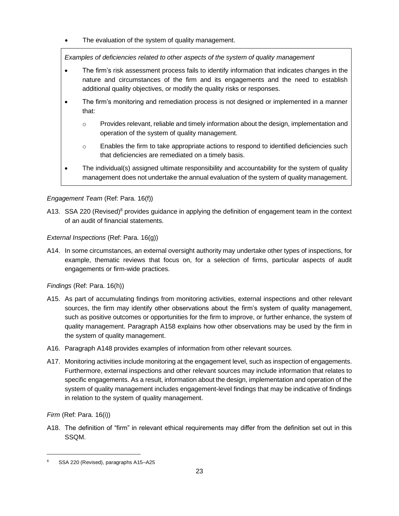• The evaluation of the system of quality management.

*Examples of deficiencies related to other aspects of the system of quality management*

- The firm's risk assessment process fails to identify information that indicates changes in the nature and circumstances of the firm and its engagements and the need to establish additional quality objectives, or modify the quality risks or responses.
- The firm's monitoring and remediation process is not designed or implemented in a manner that:
	- $\circ$  Provides relevant, reliable and timely information about the design, implementation and operation of the system of quality management.
	- o Enables the firm to take appropriate actions to respond to identified deficiencies such that deficiencies are remediated on a timely basis.
- The individual(s) assigned ultimate responsibility and accountability for the system of quality management does not undertake the annual evaluation of the system of quality management.

## *Engagement Team* (Ref: Para. 16(f))

A13. SSA 220 (Revised)<sup>8</sup> provides guidance in applying the definition of engagement team in the context of an audit of financial statements.

*External Inspections* (Ref: Para. 16(g))

A14. In some circumstances, an external oversight authority may undertake other types of inspections, for example, thematic reviews that focus on, for a selection of firms, particular aspects of audit engagements or firm-wide practices.

*Findings* (Ref: Para. 16(h))

- A15. As part of accumulating findings from monitoring activities, external inspections and other relevant sources, the firm may identify other observations about the firm's system of quality management, such as positive outcomes or opportunities for the firm to improve, or further enhance, the system of quality management. Paragraph A158 explains how other observations may be used by the firm in the system of quality management.
- A16. Paragraph A148 provides examples of information from other relevant sources.
- A17. Monitoring activities include monitoring at the engagement level, such as inspection of engagements. Furthermore, external inspections and other relevant sources may include information that relates to specific engagements. As a result, information about the design, implementation and operation of the system of quality management includes engagement-level findings that may be indicative of findings in relation to the system of quality management.

*Firm* (Ref: Para. 16(i))

A18. The definition of "firm" in relevant ethical requirements may differ from the definition set out in this SSQM.

<sup>8</sup> SSA 220 (Revised), paragraphs A15–A25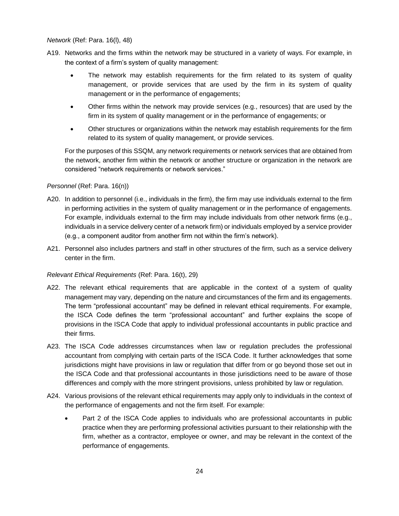*Network* (Ref: Para. 16(l), 48)

- A19. Networks and the firms within the network may be structured in a variety of ways. For example, in the context of a firm's system of quality management:
	- The network may establish requirements for the firm related to its system of quality management, or provide services that are used by the firm in its system of quality management or in the performance of engagements;
	- Other firms within the network may provide services (e.g., resources) that are used by the firm in its system of quality management or in the performance of engagements; or
	- Other structures or organizations within the network may establish requirements for the firm related to its system of quality management, or provide services.

For the purposes of this SSQM, any network requirements or network services that are obtained from the network, another firm within the network or another structure or organization in the network are considered "network requirements or network services."

#### *Personnel* (Ref: Para. 16(n))

- A20. In addition to personnel (i.e., individuals in the firm), the firm may use individuals external to the firm in performing activities in the system of quality management or in the performance of engagements. For example, individuals external to the firm may include individuals from other network firms (e.g., individuals in a service delivery center of a network firm) or individuals employed by a service provider (e.g., a component auditor from another firm not within the firm's network).
- A21. Personnel also includes partners and staff in other structures of the firm, such as a service delivery center in the firm.

#### *Relevant Ethical Requirements* (Ref: Para. 16(t), 29)

- A22. The relevant ethical requirements that are applicable in the context of a system of quality management may vary, depending on the nature and circumstances of the firm and its engagements. The term "professional accountant" may be defined in relevant ethical requirements. For example, the ISCA Code defines the term "professional accountant" and further explains the scope of provisions in the ISCA Code that apply to individual professional accountants in public practice and their firms.
- A23. The ISCA Code addresses circumstances when law or regulation precludes the professional accountant from complying with certain parts of the ISCA Code. It further acknowledges that some jurisdictions might have provisions in law or regulation that differ from or go beyond those set out in the ISCA Code and that professional accountants in those jurisdictions need to be aware of those differences and comply with the more stringent provisions, unless prohibited by law or regulation.
- A24. Various provisions of the relevant ethical requirements may apply only to individuals in the context of the performance of engagements and not the firm itself. For example:
	- Part 2 of the ISCA Code applies to individuals who are professional accountants in public practice when they are performing professional activities pursuant to their relationship with the firm, whether as a contractor, employee or owner, and may be relevant in the context of the performance of engagements.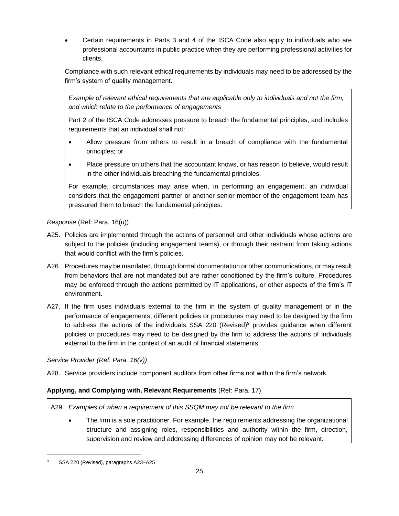• Certain requirements in Parts 3 and 4 of the ISCA Code also apply to individuals who are professional accountants in public practice when they are performing professional activities for clients.

Compliance with such relevant ethical requirements by individuals may need to be addressed by the firm's system of quality management.

*Example of relevant ethical requirements that are applicable only to individuals and not the firm, and which relate to the performance of engagements*

Part 2 of the ISCA Code addresses pressure to breach the fundamental principles, and includes requirements that an individual shall not:

- Allow pressure from others to result in a breach of compliance with the fundamental principles; or
- Place pressure on others that the accountant knows, or has reason to believe, would result in the other individuals breaching the fundamental principles.

For example, circumstances may arise when, in performing an engagement, an individual considers that the engagement partner or another senior member of the engagement team has pressured them to breach the fundamental principles.

## *Response* (Ref: Para. 16(u))

- A25. Policies are implemented through the actions of personnel and other individuals whose actions are subject to the policies (including engagement teams), or through their restraint from taking actions that would conflict with the firm's policies.
- A26. Procedures may be mandated, through formal documentation or other communications, or may result from behaviors that are not mandated but are rather conditioned by the firm's culture. Procedures may be enforced through the actions permitted by IT applications, or other aspects of the firm's IT environment.
- A27. If the firm uses individuals external to the firm in the system of quality management or in the performance of engagements, different policies or procedures may need to be designed by the firm to address the actions of the individuals. SSA 220 (Revised)<sup>9</sup> provides guidance when different policies or procedures may need to be designed by the firm to address the actions of individuals external to the firm in the context of an audit of financial statements.

## *Service Provider (Ref: Para. 16(v))*

A28. Service providers include component auditors from other firms not within the firm's network.

## **Applying, and Complying with, Relevant Requirements** (Ref: Para. 17)

A29. *Examples of when a requirement of this SSQM may not be relevant to the firm*

• The firm is a sole practitioner. For example, the requirements addressing the organizational structure and assigning roles, responsibilities and authority within the firm, direction, supervision and review and addressing differences of opinion may not be relevant.

SSA 220 (Revised), paragraphs A23-A25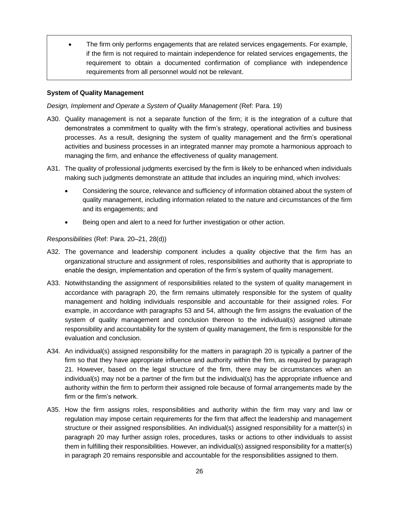• The firm only performs engagements that are related services engagements. For example, if the firm is not required to maintain independence for related services engagements, the requirement to obtain a documented confirmation of compliance with independence requirements from all personnel would not be relevant.

#### **System of Quality Management**

*Design, Implement and Operate a System of Quality Management* (Ref: Para. 19)

- A30. Quality management is not a separate function of the firm; it is the integration of a culture that demonstrates a commitment to quality with the firm's strategy, operational activities and business processes. As a result, designing the system of quality management and the firm's operational activities and business processes in an integrated manner may promote a harmonious approach to managing the firm, and enhance the effectiveness of quality management.
- A31. The quality of professional judgments exercised by the firm is likely to be enhanced when individuals making such judgments demonstrate an attitude that includes an inquiring mind, which involves:
	- Considering the source, relevance and sufficiency of information obtained about the system of quality management, including information related to the nature and circumstances of the firm and its engagements; and
	- Being open and alert to a need for further investigation or other action.

#### *Responsibilities* (Ref: Para. 20–21, 28(d))

- A32. The governance and leadership component includes a quality objective that the firm has an organizational structure and assignment of roles, responsibilities and authority that is appropriate to enable the design, implementation and operation of the firm's system of quality management.
- A33. Notwithstanding the assignment of responsibilities related to the system of quality management in accordance with paragraph 20, the firm remains ultimately responsible for the system of quality management and holding individuals responsible and accountable for their assigned roles. For example, in accordance with paragraphs 53 and 54, although the firm assigns the evaluation of the system of quality management and conclusion thereon to the individual(s) assigned ultimate responsibility and accountability for the system of quality management, the firm is responsible for the evaluation and conclusion.
- A34. An individual(s) assigned responsibility for the matters in paragraph 20 is typically a partner of the firm so that they have appropriate influence and authority within the firm, as required by paragraph 21. However, based on the legal structure of the firm, there may be circumstances when an individual(s) may not be a partner of the firm but the individual(s) has the appropriate influence and authority within the firm to perform their assigned role because of formal arrangements made by the firm or the firm's network.
- A35. How the firm assigns roles, responsibilities and authority within the firm may vary and law or regulation may impose certain requirements for the firm that affect the leadership and management structure or their assigned responsibilities. An individual(s) assigned responsibility for a matter(s) in paragraph 20 may further assign roles, procedures, tasks or actions to other individuals to assist them in fulfilling their responsibilities. However, an individual(s) assigned responsibility for a matter(s) in paragraph 20 remains responsible and accountable for the responsibilities assigned to them.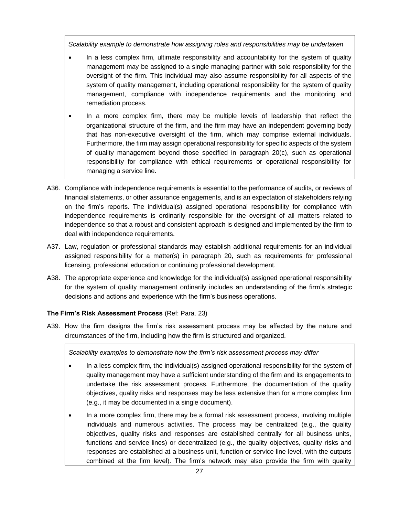*Scalability example to demonstrate how assigning roles and responsibilities may be undertaken*

- In a less complex firm, ultimate responsibility and accountability for the system of quality management may be assigned to a single managing partner with sole responsibility for the oversight of the firm. This individual may also assume responsibility for all aspects of the system of quality management, including operational responsibility for the system of quality management, compliance with independence requirements and the monitoring and remediation process.
- In a more complex firm, there may be multiple levels of leadership that reflect the organizational structure of the firm, and the firm may have an independent governing body that has non-executive oversight of the firm, which may comprise external individuals. Furthermore, the firm may assign operational responsibility for specific aspects of the system of quality management beyond those specified in paragraph 20(c), such as operational responsibility for compliance with ethical requirements or operational responsibility for managing a service line.
- A36. Compliance with independence requirements is essential to the performance of audits, or reviews of financial statements, or other assurance engagements, and is an expectation of stakeholders relying on the firm's reports. The individual(s) assigned operational responsibility for compliance with independence requirements is ordinarily responsible for the oversight of all matters related to independence so that a robust and consistent approach is designed and implemented by the firm to deal with independence requirements.
- A37. Law, regulation or professional standards may establish additional requirements for an individual assigned responsibility for a matter(s) in paragraph 20, such as requirements for professional licensing, professional education or continuing professional development.
- A38. The appropriate experience and knowledge for the individual(s) assigned operational responsibility for the system of quality management ordinarily includes an understanding of the firm's strategic decisions and actions and experience with the firm's business operations.

#### **The Firm's Risk Assessment Process** (Ref: Para. 23)

A39. How the firm designs the firm's risk assessment process may be affected by the nature and circumstances of the firm, including how the firm is structured and organized.

*Scalability examples to demonstrate how the firm's risk assessment process may differ*

- In a less complex firm, the individual(s) assigned operational responsibility for the system of quality management may have a sufficient understanding of the firm and its engagements to undertake the risk assessment process. Furthermore, the documentation of the quality objectives, quality risks and responses may be less extensive than for a more complex firm (e.g., it may be documented in a single document).
- In a more complex firm, there may be a formal risk assessment process, involving multiple individuals and numerous activities. The process may be centralized (e.g., the quality objectives, quality risks and responses are established centrally for all business units, functions and service lines) or decentralized (e.g., the quality objectives, quality risks and responses are established at a business unit, function or service line level, with the outputs combined at the firm level). The firm's network may also provide the firm with quality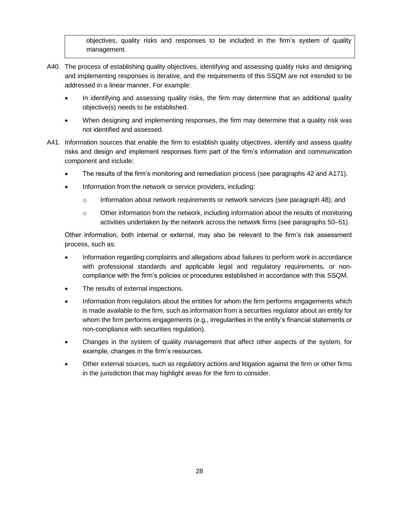objectives, quality risks and responses to be included in the firm's system of quality management.

- A40. The process of establishing quality objectives, identifying and assessing quality risks and designing and implementing responses is iterative, and the requirements of this SSQM are not intended to be addressed in a linear manner. For example:
	- In identifying and assessing quality risks, the firm may determine that an additional quality objective(s) needs to be established.
	- When designing and implementing responses, the firm may determine that a quality risk was not identified and assessed.
- A41. Information sources that enable the firm to establish quality objectives, identify and assess quality risks and design and implement responses form part of the firm's information and communication component and include:
	- The results of the firm's monitoring and remediation process (see paragraphs 42 and A171).
	- Information from the network or service providers, including:
		- $\circ$  Information about network requirements or network services (see paragraph 48); and
		- $\circ$  Other information from the network, including information about the results of monitoring activities undertaken by the network across the network firms (see paragraphs 50–51).

Other information, both internal or external, may also be relevant to the firm's risk assessment process, such as:

- Information regarding complaints and allegations about failures to perform work in accordance with professional standards and applicable legal and regulatory requirements, or noncompliance with the firm's policies or procedures established in accordance with this SSQM.
- The results of external inspections.
- Information from regulators about the entities for whom the firm performs engagements which is made available to the firm, such as information from a securities regulator about an entity for whom the firm performs engagements (e.g., irregularities in the entity's financial statements or non-compliance with securities regulation).
- Changes in the system of quality management that affect other aspects of the system, for example, changes in the firm's resources.
- Other external sources, such as regulatory actions and litigation against the firm or other firms in the jurisdiction that may highlight areas for the firm to consider.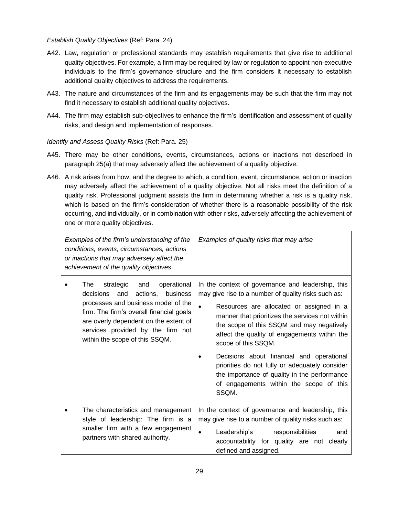#### *Establish Quality Objectives* (Ref: Para. 24)

- A42. Law, regulation or professional standards may establish requirements that give rise to additional quality objectives. For example, a firm may be required by law or regulation to appoint non-executive individuals to the firm's governance structure and the firm considers it necessary to establish additional quality objectives to address the requirements.
- A43. The nature and circumstances of the firm and its engagements may be such that the firm may not find it necessary to establish additional quality objectives.
- A44. The firm may establish sub-objectives to enhance the firm's identification and assessment of quality risks, and design and implementation of responses.

## *Identify and Assess Quality Risks* (Ref: Para. 25)

- A45. There may be other conditions, events, circumstances, actions or inactions not described in paragraph 25(a) that may adversely affect the achievement of a quality objective.
- A46. A risk arises from how, and the degree to which, a condition, event, circumstance, action or inaction may adversely affect the achievement of a quality objective. Not all risks meet the definition of a quality risk. Professional judgment assists the firm in determining whether a risk is a quality risk, which is based on the firm's consideration of whether there is a reasonable possibility of the risk occurring, and individually, or in combination with other risks, adversely affecting the achievement of one or more quality objectives.

| Examples of the firm's understanding of the<br>conditions, events, circumstances, actions<br>or inactions that may adversely affect the<br>achievement of the quality objectives                                                                                                   | Examples of quality risks that may arise                                                                                                                                                                                                                                                                                                                                                                                                                                                                                                    |
|------------------------------------------------------------------------------------------------------------------------------------------------------------------------------------------------------------------------------------------------------------------------------------|---------------------------------------------------------------------------------------------------------------------------------------------------------------------------------------------------------------------------------------------------------------------------------------------------------------------------------------------------------------------------------------------------------------------------------------------------------------------------------------------------------------------------------------------|
| strategic and<br>operational<br>The<br>actions,<br>and<br>business<br>decisions<br>processes and business model of the<br>firm: The firm's overall financial goals<br>are overly dependent on the extent of<br>services provided by the firm not<br>within the scope of this SSQM. | In the context of governance and leadership, this<br>may give rise to a number of quality risks such as:<br>Resources are allocated or assigned in a<br>$\bullet$<br>manner that prioritizes the services not within<br>the scope of this SSQM and may negatively<br>affect the quality of engagements within the<br>scope of this SSQM.<br>Decisions about financial and operational<br>priorities do not fully or adequately consider<br>the importance of quality in the performance<br>of engagements within the scope of this<br>SSQM. |
| The characteristics and management<br>style of leadership: The firm is a<br>smaller firm with a few engagement<br>partners with shared authority.                                                                                                                                  | In the context of governance and leadership, this<br>may give rise to a number of quality risks such as:<br>Leadership's<br>responsibilities<br>and<br>$\bullet$<br>accountability for quality are not clearly<br>defined and assigned.                                                                                                                                                                                                                                                                                                     |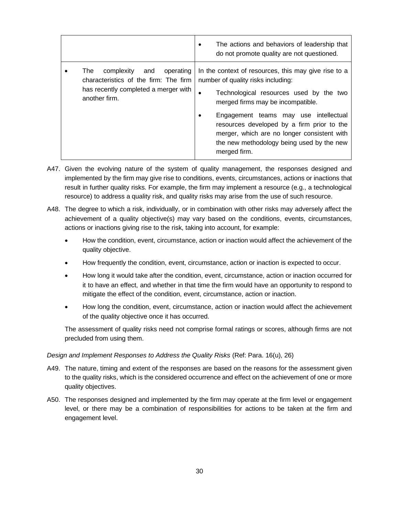|                                                                                                                                         | The actions and behaviors of leadership that<br>٠<br>do not promote quality are not questioned.                                                                                                                                                                                                                                                                                    |
|-----------------------------------------------------------------------------------------------------------------------------------------|------------------------------------------------------------------------------------------------------------------------------------------------------------------------------------------------------------------------------------------------------------------------------------------------------------------------------------------------------------------------------------|
| operating<br>The<br>complexity<br>and<br>characteristics of the firm: The firm<br>has recently completed a merger with<br>another firm. | In the context of resources, this may give rise to a<br>number of quality risks including:<br>Technological resources used by the two<br>٠<br>merged firms may be incompatible.<br>Engagement teams may use intellectual<br>resources developed by a firm prior to the<br>merger, which are no longer consistent with<br>the new methodology being used by the new<br>merged firm. |

- A47. Given the evolving nature of the system of quality management, the responses designed and implemented by the firm may give rise to conditions, events, circumstances, actions or inactions that result in further quality risks. For example, the firm may implement a resource (e.g., a technological resource) to address a quality risk, and quality risks may arise from the use of such resource.
- A48. The degree to which a risk, individually, or in combination with other risks may adversely affect the achievement of a quality objective(s) may vary based on the conditions, events, circumstances, actions or inactions giving rise to the risk, taking into account, for example:
	- How the condition, event, circumstance, action or inaction would affect the achievement of the quality objective.
	- How frequently the condition, event, circumstance, action or inaction is expected to occur.
	- How long it would take after the condition, event, circumstance, action or inaction occurred for it to have an effect, and whether in that time the firm would have an opportunity to respond to mitigate the effect of the condition, event, circumstance, action or inaction.
	- How long the condition, event, circumstance, action or inaction would affect the achievement of the quality objective once it has occurred.

The assessment of quality risks need not comprise formal ratings or scores, although firms are not precluded from using them.

#### *Design and Implement Responses to Address the Quality Risks (Ref: Para. 16(u), 26)*

- A49. The nature, timing and extent of the responses are based on the reasons for the assessment given to the quality risks, which is the considered occurrence and effect on the achievement of one or more quality objectives.
- A50. The responses designed and implemented by the firm may operate at the firm level or engagement level, or there may be a combination of responsibilities for actions to be taken at the firm and engagement level.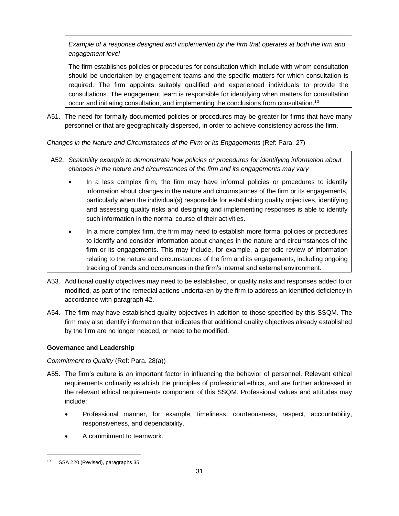*Example of a response designed and implemented by the firm that operates at both the firm and engagement level*

The firm establishes policies or procedures for consultation which include with whom consultation should be undertaken by engagement teams and the specific matters for which consultation is required. The firm appoints suitably qualified and experienced individuals to provide the consultations. The engagement team is responsible for identifying when matters for consultation occur and initiating consultation, and implementing the conclusions from consultation.<sup>10</sup>

A51. The need for formally documented policies or procedures may be greater for firms that have many personnel or that are geographically dispersed, in order to achieve consistency across the firm.

*Changes in the Nature and Circumstances of the Firm or its Engagements* (Ref: Para. 27)

- A52. *Scalability example to demonstrate how policies or procedures for identifying information about changes in the nature and circumstances of the firm and its engagements may vary*
	- In a less complex firm, the firm may have informal policies or procedures to identify information about changes in the nature and circumstances of the firm or its engagements, particularly when the individual(s) responsible for establishing quality objectives, identifying and assessing quality risks and designing and implementing responses is able to identify such information in the normal course of their activities.
	- In a more complex firm, the firm may need to establish more formal policies or procedures to identify and consider information about changes in the nature and circumstances of the firm or its engagements. This may include, for example, a periodic review of information relating to the nature and circumstances of the firm and its engagements, including ongoing tracking of trends and occurrences in the firm's internal and external environment.
- A53. Additional quality objectives may need to be established, or quality risks and responses added to or modified, as part of the remedial actions undertaken by the firm to address an identified deficiency in accordance with paragraph 42.
- A54. The firm may have established quality objectives in addition to those specified by this SSQM. The firm may also identify information that indicates that additional quality objectives already established by the firm are no longer needed, or need to be modified.

## **Governance and Leadership**

## *Commitment to Quality* (Ref: Para. 28(a))

- A55. The firm's culture is an important factor in influencing the behavior of personnel. Relevant ethical requirements ordinarily establish the principles of professional ethics, and are further addressed in the relevant ethical requirements component of this SSQM. Professional values and attitudes may include:
	- Professional manner, for example, timeliness, courteousness, respect, accountability, responsiveness, and dependability.
	- A commitment to teamwork.

<sup>10</sup> SSA 220 (Revised), paragraphs 35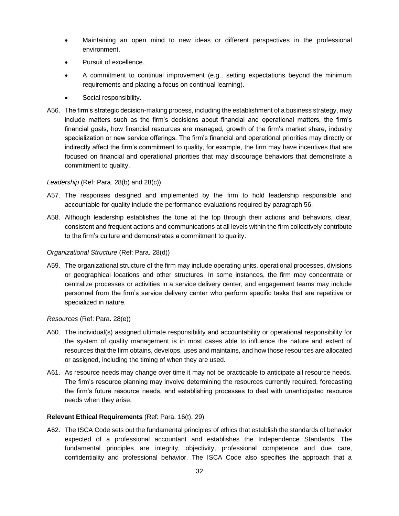- Maintaining an open mind to new ideas or different perspectives in the professional environment.
- Pursuit of excellence.
- A commitment to continual improvement (e.g., setting expectations beyond the minimum requirements and placing a focus on continual learning).
- Social responsibility.
- A56. The firm's strategic decision-making process, including the establishment of a business strategy, may include matters such as the firm's decisions about financial and operational matters, the firm's financial goals, how financial resources are managed, growth of the firm's market share, industry specialization or new service offerings. The firm's financial and operational priorities may directly or indirectly affect the firm's commitment to quality, for example, the firm may have incentives that are focused on financial and operational priorities that may discourage behaviors that demonstrate a commitment to quality.

#### *Leadership* (Ref: Para. 28(b) and 28(c))

- A57. The responses designed and implemented by the firm to hold leadership responsible and accountable for quality include the performance evaluations required by paragraph 56.
- A58. Although leadership establishes the tone at the top through their actions and behaviors, clear, consistent and frequent actions and communications at all levels within the firm collectively contribute to the firm's culture and demonstrates a commitment to quality.

#### *Organizational Structure* (Ref: Para. 28(d))

A59. The organizational structure of the firm may include operating units, operational processes, divisions or geographical locations and other structures. In some instances, the firm may concentrate or centralize processes or activities in a service delivery center, and engagement teams may include personnel from the firm's service delivery center who perform specific tasks that are repetitive or specialized in nature.

*Resources* (Ref: Para. 28(e))

- A60. The individual(s) assigned ultimate responsibility and accountability or operational responsibility for the system of quality management is in most cases able to influence the nature and extent of resources that the firm obtains, develops, uses and maintains, and how those resources are allocated or assigned, including the timing of when they are used.
- A61. As resource needs may change over time it may not be practicable to anticipate all resource needs. The firm's resource planning may involve determining the resources currently required, forecasting the firm's future resource needs, and establishing processes to deal with unanticipated resource needs when they arise.

#### **Relevant Ethical Requirements** (Ref: Para. 16(t), 29)

A62. The ISCA Code sets out the fundamental principles of ethics that establish the standards of behavior expected of a professional accountant and establishes the Independence Standards. The fundamental principles are integrity, objectivity, professional competence and due care, confidentiality and professional behavior. The ISCA Code also specifies the approach that a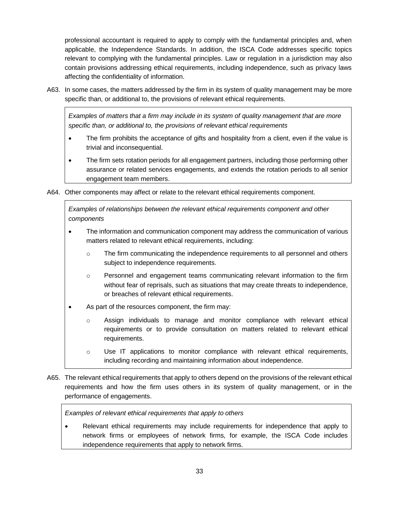professional accountant is required to apply to comply with the fundamental principles and, when applicable, the Independence Standards. In addition, the ISCA Code addresses specific topics relevant to complying with the fundamental principles. Law or regulation in a jurisdiction may also contain provisions addressing ethical requirements, including independence, such as privacy laws affecting the confidentiality of information.

A63. In some cases, the matters addressed by the firm in its system of quality management may be more specific than, or additional to, the provisions of relevant ethical requirements.

*Examples of matters that a firm may include in its system of quality management that are more specific than, or additional to, the provisions of relevant ethical requirements*

- The firm prohibits the acceptance of gifts and hospitality from a client, even if the value is trivial and inconsequential.
- The firm sets rotation periods for all engagement partners, including those performing other assurance or related services engagements, and extends the rotation periods to all senior engagement team members.
- A64. Other components may affect or relate to the relevant ethical requirements component.

*Examples of relationships between the relevant ethical requirements component and other components* 

- The information and communication component may address the communication of various matters related to relevant ethical requirements, including:
	- $\circ$  The firm communicating the independence requirements to all personnel and others subject to independence requirements.
	- o Personnel and engagement teams communicating relevant information to the firm without fear of reprisals, such as situations that may create threats to independence, or breaches of relevant ethical requirements.
- As part of the resources component, the firm may:
	- o Assign individuals to manage and monitor compliance with relevant ethical requirements or to provide consultation on matters related to relevant ethical requirements.
	- $\circ$  Use IT applications to monitor compliance with relevant ethical requirements, including recording and maintaining information about independence.
- A65. The relevant ethical requirements that apply to others depend on the provisions of the relevant ethical requirements and how the firm uses others in its system of quality management, or in the performance of engagements.

*Examples of relevant ethical requirements that apply to others*

• Relevant ethical requirements may include requirements for independence that apply to network firms or employees of network firms, for example, the ISCA Code includes independence requirements that apply to network firms.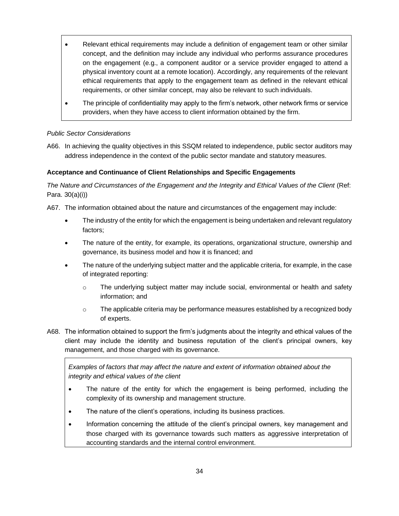- Relevant ethical requirements may include a definition of engagement team or other similar concept, and the definition may include any individual who performs assurance procedures on the engagement (e.g., a component auditor or a service provider engaged to attend a physical inventory count at a remote location). Accordingly, any requirements of the relevant ethical requirements that apply to the engagement team as defined in the relevant ethical requirements, or other similar concept, may also be relevant to such individuals.
- The principle of confidentiality may apply to the firm's network, other network firms or service providers, when they have access to client information obtained by the firm.

## *Public Sector Considerations*

A66. In achieving the quality objectives in this SSQM related to independence, public sector auditors may address independence in the context of the public sector mandate and statutory measures.

#### **Acceptance and Continuance of Client Relationships and Specific Engagements**

The Nature and Circumstances of the Engagement and the Integrity and Ethical Values of the Client (Ref: Para. 30(a)(i))

A67. The information obtained about the nature and circumstances of the engagement may include:

- The industry of the entity for which the engagement is being undertaken and relevant regulatory factors;
- The nature of the entity, for example, its operations, organizational structure, ownership and governance, its business model and how it is financed; and
- The nature of the underlying subject matter and the applicable criteria, for example, in the case of integrated reporting:
	- o The underlying subject matter may include social, environmental or health and safety information; and
	- $\circ$  The applicable criteria may be performance measures established by a recognized body of experts.
- A68. The information obtained to support the firm's judgments about the integrity and ethical values of the client may include the identity and business reputation of the client's principal owners, key management, and those charged with its governance.

*Examples of factors that may affect the nature and extent of information obtained about the integrity and ethical values of the client*

- The nature of the entity for which the engagement is being performed, including the complexity of its ownership and management structure.
- The nature of the client's operations, including its business practices.
- Information concerning the attitude of the client's principal owners, key management and those charged with its governance towards such matters as aggressive interpretation of accounting standards and the internal control environment.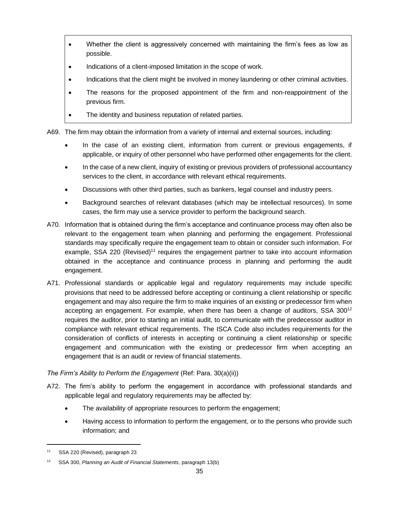- Whether the client is aggressively concerned with maintaining the firm's fees as low as possible.
- Indications of a client-imposed limitation in the scope of work.
- Indications that the client might be involved in money laundering or other criminal activities.
- The reasons for the proposed appointment of the firm and non-reappointment of the previous firm.
- The identity and business reputation of related parties.

A69. The firm may obtain the information from a variety of internal and external sources, including:

- In the case of an existing client, information from current or previous engagements, if applicable, or inquiry of other personnel who have performed other engagements for the client.
- In the case of a new client, inquiry of existing or previous providers of professional accountancy services to the client, in accordance with relevant ethical requirements.
- Discussions with other third parties, such as bankers, legal counsel and industry peers.
- Background searches of relevant databases (which may be intellectual resources). In some cases, the firm may use a service provider to perform the background search.
- A70. Information that is obtained during the firm's acceptance and continuance process may often also be relevant to the engagement team when planning and performing the engagement. Professional standards may specifically require the engagement team to obtain or consider such information. For example, SSA 220 (Revised)<sup>11</sup> requires the engagement partner to take into account information obtained in the acceptance and continuance process in planning and performing the audit engagement.
- A71. Professional standards or applicable legal and regulatory requirements may include specific provisions that need to be addressed before accepting or continuing a client relationship or specific engagement and may also require the firm to make inquiries of an existing or predecessor firm when accepting an engagement. For example, when there has been a change of auditors,  $SSA$   $300^{12}$ requires the auditor, prior to starting an initial audit, to communicate with the predecessor auditor in compliance with relevant ethical requirements. The ISCA Code also includes requirements for the consideration of conflicts of interests in accepting or continuing a client relationship or specific engagement and communication with the existing or predecessor firm when accepting an engagement that is an audit or review of financial statements.

## *The Firm's Ability to Perform the Engagement* (Ref: Para. 30(a)(ii))

- A72. The firm's ability to perform the engagement in accordance with professional standards and applicable legal and regulatory requirements may be affected by:
	- The availability of appropriate resources to perform the engagement;
	- Having access to information to perform the engagement, or to the persons who provide such information; and

<sup>11</sup> SSA 220 (Revised), paragraph 23

<sup>12</sup> SSA 300, *Planning an Audit of Financial Statements,* paragraph 13(b)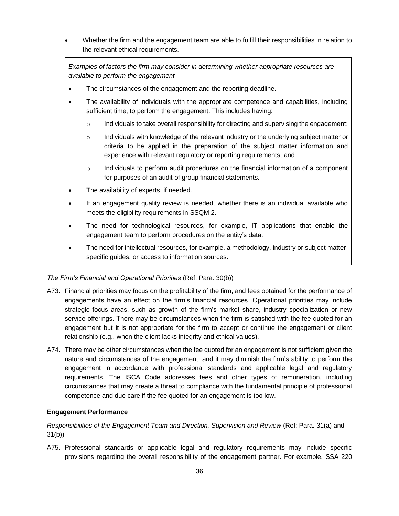• Whether the firm and the engagement team are able to fulfill their responsibilities in relation to the relevant ethical requirements.

*Examples of factors the firm may consider in determining whether appropriate resources are available to perform the engagement*

- The circumstances of the engagement and the reporting deadline.
- The availability of individuals with the appropriate competence and capabilities, including sufficient time, to perform the engagement. This includes having:
	- $\circ$  Individuals to take overall responsibility for directing and supervising the engagement;
	- $\circ$  Individuals with knowledge of the relevant industry or the underlying subject matter or criteria to be applied in the preparation of the subject matter information and experience with relevant regulatory or reporting requirements; and
	- o Individuals to perform audit procedures on the financial information of a component for purposes of an audit of group financial statements.
- The availability of experts, if needed.
- If an engagement quality review is needed, whether there is an individual available who meets the eligibility requirements in SSQM 2.
- The need for technological resources, for example, IT applications that enable the engagement team to perform procedures on the entity's data.
- The need for intellectual resources, for example, a methodology, industry or subject matterspecific guides, or access to information sources.

#### *The Firm's Financial and Operational Priorities* (Ref: Para. 30(b))

- A73. Financial priorities may focus on the profitability of the firm, and fees obtained for the performance of engagements have an effect on the firm's financial resources. Operational priorities may include strategic focus areas, such as growth of the firm's market share, industry specialization or new service offerings. There may be circumstances when the firm is satisfied with the fee quoted for an engagement but it is not appropriate for the firm to accept or continue the engagement or client relationship (e.g., when the client lacks integrity and ethical values).
- A74. There may be other circumstances when the fee quoted for an engagement is not sufficient given the nature and circumstances of the engagement, and it may diminish the firm's ability to perform the engagement in accordance with professional standards and applicable legal and regulatory requirements. The ISCA Code addresses fees and other types of remuneration, including circumstances that may create a threat to compliance with the fundamental principle of professional competence and due care if the fee quoted for an engagement is too low.

#### **Engagement Performance**

*Responsibilities of the Engagement Team and Direction, Supervision and Review* (Ref: Para. 31(a) and 31(b))

A75. Professional standards or applicable legal and regulatory requirements may include specific provisions regarding the overall responsibility of the engagement partner. For example, SSA 220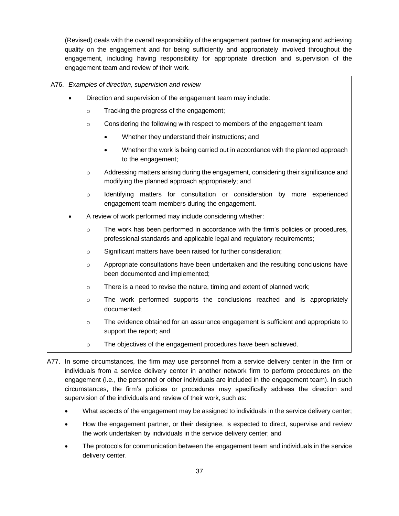(Revised) deals with the overall responsibility of the engagement partner for managing and achieving quality on the engagement and for being sufficiently and appropriately involved throughout the engagement, including having responsibility for appropriate direction and supervision of the engagement team and review of their work.

|                                                               | A76. Examples of direction, supervision and review |                                                                                                                                                               |  |  |  |
|---------------------------------------------------------------|----------------------------------------------------|---------------------------------------------------------------------------------------------------------------------------------------------------------------|--|--|--|
| Direction and supervision of the engagement team may include: |                                                    |                                                                                                                                                               |  |  |  |
|                                                               | $\circ$                                            | Tracking the progress of the engagement;                                                                                                                      |  |  |  |
|                                                               | $\circ$                                            | Considering the following with respect to members of the engagement team:                                                                                     |  |  |  |
|                                                               |                                                    | Whether they understand their instructions; and                                                                                                               |  |  |  |
|                                                               |                                                    | Whether the work is being carried out in accordance with the planned approach<br>to the engagement;                                                           |  |  |  |
|                                                               | $\circ$                                            | Addressing matters arising during the engagement, considering their significance and<br>modifying the planned approach appropriately; and                     |  |  |  |
|                                                               | $\circ$                                            | Identifying matters for consultation or consideration by more experienced<br>engagement team members during the engagement.                                   |  |  |  |
|                                                               |                                                    | A review of work performed may include considering whether:                                                                                                   |  |  |  |
|                                                               | $\circ$                                            | The work has been performed in accordance with the firm's policies or procedures,<br>professional standards and applicable legal and regulatory requirements; |  |  |  |
|                                                               | $\circ$                                            | Significant matters have been raised for further consideration;                                                                                               |  |  |  |
|                                                               | $\circ$                                            | Appropriate consultations have been undertaken and the resulting conclusions have<br>been documented and implemented;                                         |  |  |  |
|                                                               | $\circ$                                            | There is a need to revise the nature, timing and extent of planned work;                                                                                      |  |  |  |
|                                                               | $\circ$                                            | The work performed supports the conclusions reached and is appropriately<br>documented;                                                                       |  |  |  |
|                                                               | $\circ$                                            | The evidence obtained for an assurance engagement is sufficient and appropriate to<br>support the report; and                                                 |  |  |  |
|                                                               | $\circ$                                            | The objectives of the engagement procedures have been achieved.                                                                                               |  |  |  |

A77. In some circumstances, the firm may use personnel from a service delivery center in the firm or individuals from a service delivery center in another network firm to perform procedures on the engagement (i.e., the personnel or other individuals are included in the engagement team). In such circumstances, the firm's policies or procedures may specifically address the direction and supervision of the individuals and review of their work, such as:

- What aspects of the engagement may be assigned to individuals in the service delivery center;
- How the engagement partner, or their designee, is expected to direct, supervise and review the work undertaken by individuals in the service delivery center; and
- The protocols for communication between the engagement team and individuals in the service delivery center.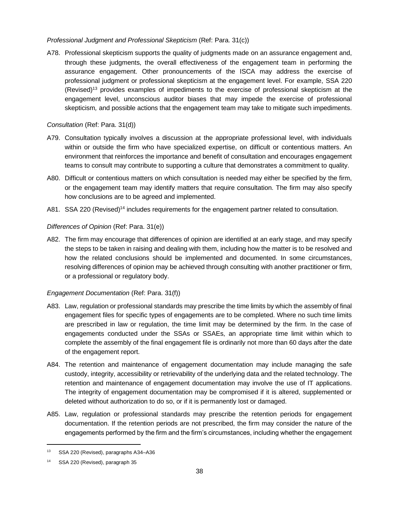### *Professional Judgment and Professional Skepticism* (Ref: Para. 31(c))

A78. Professional skepticism supports the quality of judgments made on an assurance engagement and, through these judgments, the overall effectiveness of the engagement team in performing the assurance engagement. Other pronouncements of the ISCA may address the exercise of professional judgment or professional skepticism at the engagement level. For example, SSA 220 (Revised)<sup>13</sup> provides examples of impediments to the exercise of professional skepticism at the engagement level, unconscious auditor biases that may impede the exercise of professional skepticism*,* and possible actions that the engagement team may take to mitigate such impediments.

### *Consultation* (Ref: Para. 31(d))

- A79. Consultation typically involves a discussion at the appropriate professional level, with individuals within or outside the firm who have specialized expertise, on difficult or contentious matters. An environment that reinforces the importance and benefit of consultation and encourages engagement teams to consult may contribute to supporting a culture that demonstrates a commitment to quality.
- A80. Difficult or contentious matters on which consultation is needed may either be specified by the firm, or the engagement team may identify matters that require consultation. The firm may also specify how conclusions are to be agreed and implemented.
- A81. SSA 220 (Revised)<sup>14</sup> includes requirements for the engagement partner related to consultation.

## *Differences of Opinion* (Ref: Para. 31(e))

A82. The firm may encourage that differences of opinion are identified at an early stage, and may specify the steps to be taken in raising and dealing with them, including how the matter is to be resolved and how the related conclusions should be implemented and documented. In some circumstances, resolving differences of opinion may be achieved through consulting with another practitioner or firm, or a professional or regulatory body.

### *Engagement Documentation* (Ref: Para. 31(f))

- A83. Law, regulation or professional standards may prescribe the time limits by which the assembly of final engagement files for specific types of engagements are to be completed. Where no such time limits are prescribed in law or regulation, the time limit may be determined by the firm. In the case of engagements conducted under the SSAs or SSAEs, an appropriate time limit within which to complete the assembly of the final engagement file is ordinarily not more than 60 days after the date of the engagement report.
- A84. The retention and maintenance of engagement documentation may include managing the safe custody, integrity, accessibility or retrievability of the underlying data and the related technology. The retention and maintenance of engagement documentation may involve the use of IT applications. The integrity of engagement documentation may be compromised if it is altered, supplemented or deleted without authorization to do so, or if it is permanently lost or damaged.
- A85. Law, regulation or professional standards may prescribe the retention periods for engagement documentation. If the retention periods are not prescribed, the firm may consider the nature of the engagements performed by the firm and the firm's circumstances, including whether the engagement

<sup>13</sup> SSA 220 (Revised), paragraphs A34–A36

<sup>14</sup> SSA 220 (Revised), paragraph 35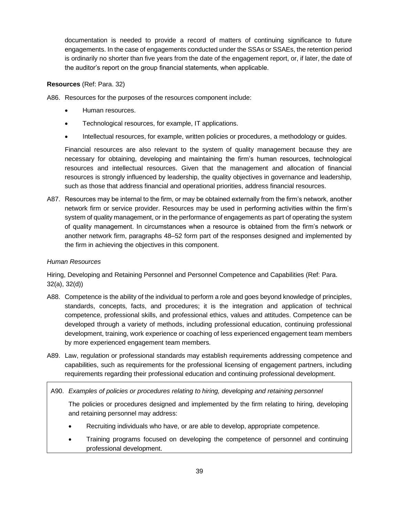documentation is needed to provide a record of matters of continuing significance to future engagements. In the case of engagements conducted under the SSAs or SSAEs, the retention period is ordinarily no shorter than five years from the date of the engagement report, or, if later, the date of the auditor's report on the group financial statements, when applicable.

### **Resources** (Ref: Para. 32)

A86. Resources for the purposes of the resources component include:

- Human resources.
- Technological resources, for example, IT applications.
- Intellectual resources, for example, written policies or procedures, a methodology or guides.

Financial resources are also relevant to the system of quality management because they are necessary for obtaining, developing and maintaining the firm's human resources, technological resources and intellectual resources. Given that the management and allocation of financial resources is strongly influenced by leadership, the quality objectives in governance and leadership, such as those that address financial and operational priorities, address financial resources.

A87. Resources may be internal to the firm, or may be obtained externally from the firm's network, another network firm or service provider. Resources may be used in performing activities within the firm's system of quality management, or in the performance of engagements as part of operating the system of quality management. In circumstances when a resource is obtained from the firm's network or another network firm, paragraphs 48–52 form part of the responses designed and implemented by the firm in achieving the objectives in this component.

#### *Human Resources*

Hiring, Developing and Retaining Personnel and Personnel Competence and Capabilities (Ref: Para. 32(a), 32(d))

- A88. Competence is the ability of the individual to perform a role and goes beyond knowledge of principles, standards, concepts, facts, and procedures; it is the integration and application of technical competence, professional skills, and professional ethics, values and attitudes. Competence can be developed through a variety of methods, including professional education, continuing professional development, training, work experience or coaching of less experienced engagement team members by more experienced engagement team members.
- A89. Law, regulation or professional standards may establish requirements addressing competence and capabilities, such as requirements for the professional licensing of engagement partners, including requirements regarding their professional education and continuing professional development.

A90. *Examples of policies or procedures relating to hiring, developing and retaining personnel* 

The policies or procedures designed and implemented by the firm relating to hiring, developing and retaining personnel may address:

- Recruiting individuals who have, or are able to develop, appropriate competence.
- Training programs focused on developing the competence of personnel and continuing professional development.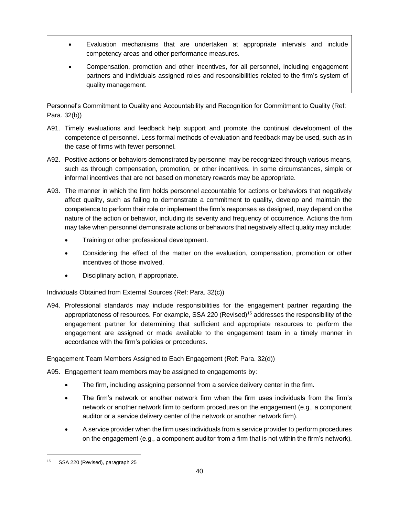- Evaluation mechanisms that are undertaken at appropriate intervals and include competency areas and other performance measures.
- Compensation, promotion and other incentives, for all personnel, including engagement partners and individuals assigned roles and responsibilities related to the firm's system of quality management.

Personnel's Commitment to Quality and Accountability and Recognition for Commitment to Quality (Ref: Para. 32(b))

- A91. Timely evaluations and feedback help support and promote the continual development of the competence of personnel. Less formal methods of evaluation and feedback may be used, such as in the case of firms with fewer personnel.
- A92. Positive actions or behaviors demonstrated by personnel may be recognized through various means, such as through compensation, promotion, or other incentives. In some circumstances, simple or informal incentives that are not based on monetary rewards may be appropriate.
- A93. The manner in which the firm holds personnel accountable for actions or behaviors that negatively affect quality, such as failing to demonstrate a commitment to quality, develop and maintain the competence to perform their role or implement the firm's responses as designed, may depend on the nature of the action or behavior, including its severity and frequency of occurrence. Actions the firm may take when personnel demonstrate actions or behaviors that negatively affect quality may include:
	- Training or other professional development.
	- Considering the effect of the matter on the evaluation, compensation, promotion or other incentives of those involved.
	- Disciplinary action, if appropriate.

Individuals Obtained from External Sources (Ref: Para. 32(c))

A94. Professional standards may include responsibilities for the engagement partner regarding the appropriateness of resources. For example, SSA 220 (Revised)<sup>15</sup> addresses the responsibility of the engagement partner for determining that sufficient and appropriate resources to perform the engagement are assigned or made available to the engagement team in a timely manner in accordance with the firm's policies or procedures.

Engagement Team Members Assigned to Each Engagement (Ref: Para. 32(d))

A95. Engagement team members may be assigned to engagements by:

- The firm, including assigning personnel from a service delivery center in the firm.
- The firm's network or another network firm when the firm uses individuals from the firm's network or another network firm to perform procedures on the engagement (e.g., a component auditor or a service delivery center of the network or another network firm).
- A service provider when the firm uses individuals from a service provider to perform procedures on the engagement (e.g., a component auditor from a firm that is not within the firm's network).

<sup>15</sup> SSA 220 (Revised), paragraph 25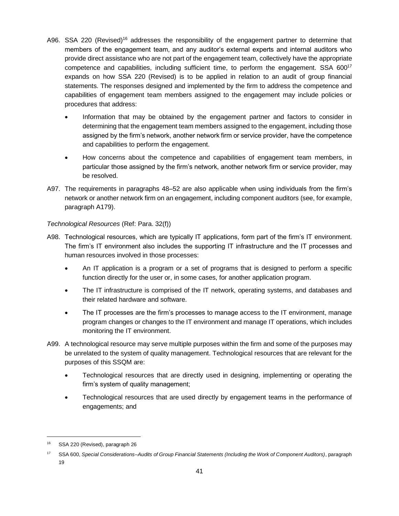- A96. SSA 220 (Revised)<sup>16</sup> addresses the responsibility of the engagement partner to determine that members of the engagement team, and any auditor's external experts and internal auditors who provide direct assistance who are not part of the engagement team, collectively have the appropriate competence and capabilities, including sufficient time, to perform the engagement. SSA 600<sup>17</sup> expands on how SSA 220 (Revised) is to be applied in relation to an audit of group financial statements. The responses designed and implemented by the firm to address the competence and capabilities of engagement team members assigned to the engagement may include policies or procedures that address:
	- Information that may be obtained by the engagement partner and factors to consider in determining that the engagement team members assigned to the engagement, including those assigned by the firm's network, another network firm or service provider, have the competence and capabilities to perform the engagement.
	- How concerns about the competence and capabilities of engagement team members, in particular those assigned by the firm's network, another network firm or service provider, may be resolved.
- A97. The requirements in paragraphs 48–52 are also applicable when using individuals from the firm's network or another network firm on an engagement, including component auditors (see, for example, paragraph A179).

## *Technological Resources* (Ref: Para. 32(f))

- A98. Technological resources, which are typically IT applications, form part of the firm's IT environment. The firm's IT environment also includes the supporting IT infrastructure and the IT processes and human resources involved in those processes:
	- An IT application is a program or a set of programs that is designed to perform a specific function directly for the user or, in some cases, for another application program.
	- The IT infrastructure is comprised of the IT network, operating systems, and databases and their related hardware and software.
	- The IT processes are the firm's processes to manage access to the IT environment, manage program changes or changes to the IT environment and manage IT operations, which includes monitoring the IT environment.
- A99. A technological resource may serve multiple purposes within the firm and some of the purposes may be unrelated to the system of quality management. Technological resources that are relevant for the purposes of this SSQM are:
	- Technological resources that are directly used in designing, implementing or operating the firm's system of quality management;
	- Technological resources that are used directly by engagement teams in the performance of engagements; and

<sup>16</sup> SSA 220 (Revised), paragraph 26

<sup>17</sup> SSA 600, *Special Considerations–Audits of Group Financial Statements (Including the Work of Component Auditors)*, paragraph 19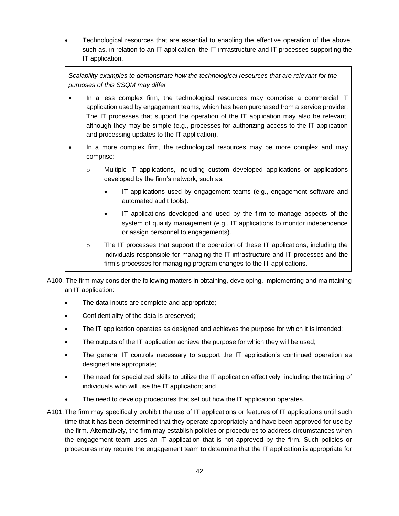• Technological resources that are essential to enabling the effective operation of the above, such as, in relation to an IT application, the IT infrastructure and IT processes supporting the IT application.

*Scalability examples to demonstrate how the technological resources that are relevant for the purposes of this SSQM may differ*

- In a less complex firm, the technological resources may comprise a commercial IT application used by engagement teams, which has been purchased from a service provider. The IT processes that support the operation of the IT application may also be relevant, although they may be simple (e.g., processes for authorizing access to the IT application and processing updates to the IT application).
- In a more complex firm, the technological resources may be more complex and may comprise:
	- o Multiple IT applications, including custom developed applications or applications developed by the firm's network, such as:
		- IT applications used by engagement teams (e.g., engagement software and automated audit tools).
		- IT applications developed and used by the firm to manage aspects of the system of quality management (e.g., IT applications to monitor independence or assign personnel to engagements).
	- $\circ$  The IT processes that support the operation of these IT applications, including the individuals responsible for managing the IT infrastructure and IT processes and the firm's processes for managing program changes to the IT applications.
- A100. The firm may consider the following matters in obtaining, developing, implementing and maintaining an IT application:
	- The data inputs are complete and appropriate;
	- Confidentiality of the data is preserved;
	- The IT application operates as designed and achieves the purpose for which it is intended;
	- The outputs of the IT application achieve the purpose for which they will be used;
	- The general IT controls necessary to support the IT application's continued operation as designed are appropriate;
	- The need for specialized skills to utilize the IT application effectively, including the training of individuals who will use the IT application; and
	- The need to develop procedures that set out how the IT application operates.
- A101.The firm may specifically prohibit the use of IT applications or features of IT applications until such time that it has been determined that they operate appropriately and have been approved for use by the firm. Alternatively, the firm may establish policies or procedures to address circumstances when the engagement team uses an IT application that is not approved by the firm. Such policies or procedures may require the engagement team to determine that the IT application is appropriate for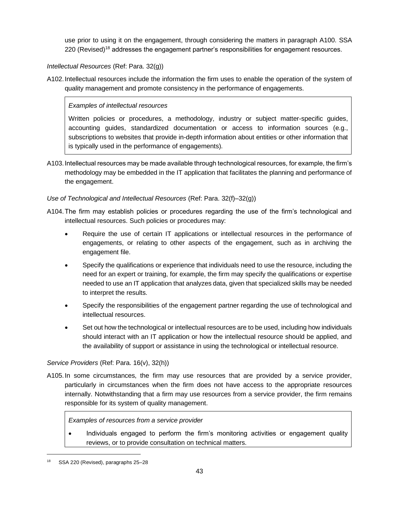use prior to using it on the engagement, through considering the matters in paragraph A100. SSA 220 (Revised)<sup>18</sup> addresses the engagement partner's responsibilities for engagement resources.

## *Intellectual Resources* (Ref: Para. 32(g))

A102.Intellectual resources include the information the firm uses to enable the operation of the system of quality management and promote consistency in the performance of engagements.

## *Examples of intellectual resources*

Written policies or procedures, a methodology, industry or subject matter-specific guides, accounting guides, standardized documentation or access to information sources (e.g., subscriptions to websites that provide in-depth information about entities or other information that is typically used in the performance of engagements).

A103.Intellectual resources may be made available through technological resources, for example, the firm's methodology may be embedded in the IT application that facilitates the planning and performance of the engagement.

## *Use of Technological and Intellectual Resources* (Ref: Para. 32(f)–32(g))

- A104.The firm may establish policies or procedures regarding the use of the firm's technological and intellectual resources. Such policies or procedures may:
	- Require the use of certain IT applications or intellectual resources in the performance of engagements, or relating to other aspects of the engagement, such as in archiving the engagement file.
	- Specify the qualifications or experience that individuals need to use the resource, including the need for an expert or training, for example, the firm may specify the qualifications or expertise needed to use an IT application that analyzes data, given that specialized skills may be needed to interpret the results.
	- Specify the responsibilities of the engagement partner regarding the use of technological and intellectual resources.
	- Set out how the technological or intellectual resources are to be used, including how individuals should interact with an IT application or how the intellectual resource should be applied, and the availability of support or assistance in using the technological or intellectual resource.

## *Service Providers* (Ref: Para. 16(v), 32(h))

A105.In some circumstances, the firm may use resources that are provided by a service provider, particularly in circumstances when the firm does not have access to the appropriate resources internally. Notwithstanding that a firm may use resources from a service provider, the firm remains responsible for its system of quality management.

### *Examples of resources from a service provider*

• Individuals engaged to perform the firm's monitoring activities or engagement quality reviews, or to provide consultation on technical matters.

SSA 220 (Revised), paragraphs 25-28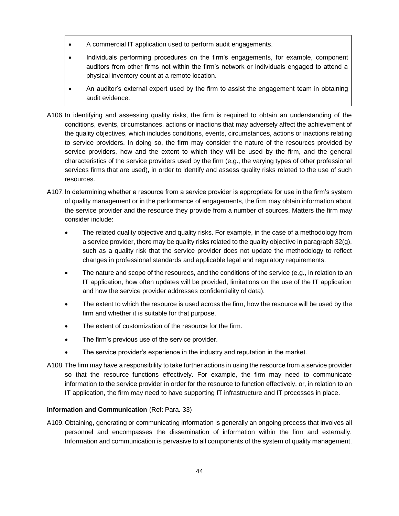- A commercial IT application used to perform audit engagements.
- Individuals performing procedures on the firm's engagements, for example, component auditors from other firms not within the firm's network or individuals engaged to attend a physical inventory count at a remote location.
- An auditor's external expert used by the firm to assist the engagement team in obtaining audit evidence.
- A106.In identifying and assessing quality risks, the firm is required to obtain an understanding of the conditions, events, circumstances, actions or inactions that may adversely affect the achievement of the quality objectives, which includes conditions, events, circumstances, actions or inactions relating to service providers. In doing so, the firm may consider the nature of the resources provided by service providers, how and the extent to which they will be used by the firm, and the general characteristics of the service providers used by the firm (e.g., the varying types of other professional services firms that are used), in order to identify and assess quality risks related to the use of such resources.
- A107.In determining whether a resource from a service provider is appropriate for use in the firm's system of quality management or in the performance of engagements, the firm may obtain information about the service provider and the resource they provide from a number of sources. Matters the firm may consider include:
	- The related quality objective and quality risks. For example, in the case of a methodology from a service provider, there may be quality risks related to the quality objective in paragraph 32(g), such as a quality risk that the service provider does not update the methodology to reflect changes in professional standards and applicable legal and regulatory requirements.
	- The nature and scope of the resources, and the conditions of the service (e.g., in relation to an IT application, how often updates will be provided, limitations on the use of the IT application and how the service provider addresses confidentiality of data).
	- The extent to which the resource is used across the firm, how the resource will be used by the firm and whether it is suitable for that purpose.
	- The extent of customization of the resource for the firm.
	- The firm's previous use of the service provider.
	- The service provider's experience in the industry and reputation in the market.
- A108.The firm may have a responsibility to take further actions in using the resource from a service provider so that the resource functions effectively. For example, the firm may need to communicate information to the service provider in order for the resource to function effectively, or, in relation to an IT application, the firm may need to have supporting IT infrastructure and IT processes in place.

### **Information and Communication** (Ref: Para. 33)

A109.Obtaining, generating or communicating information is generally an ongoing process that involves all personnel and encompasses the dissemination of information within the firm and externally. Information and communication is pervasive to all components of the system of quality management.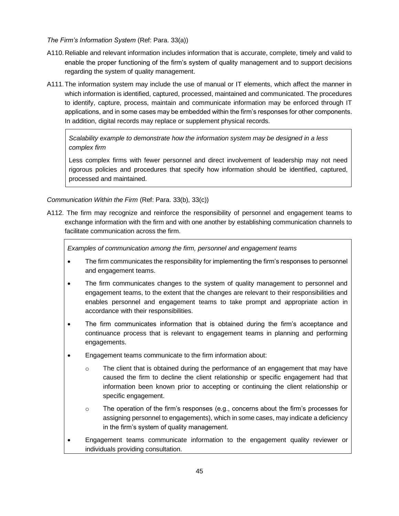### *The Firm's Information System* (Ref: Para. 33(a))

- A110.Reliable and relevant information includes information that is accurate, complete, timely and valid to enable the proper functioning of the firm's system of quality management and to support decisions regarding the system of quality management.
- A111.The information system may include the use of manual or IT elements, which affect the manner in which information is identified, captured, processed, maintained and communicated. The procedures to identify, capture, process, maintain and communicate information may be enforced through IT applications, and in some cases may be embedded within the firm's responses for other components. In addition, digital records may replace or supplement physical records.

*Scalability example to demonstrate how the information system may be designed in a less complex firm*

Less complex firms with fewer personnel and direct involvement of leadership may not need rigorous policies and procedures that specify how information should be identified, captured, processed and maintained.

*Communication Within the Firm* (Ref: Para. 33(b), 33(c))

A112. The firm may recognize and reinforce the responsibility of personnel and engagement teams to exchange information with the firm and with one another by establishing communication channels to facilitate communication across the firm.

*Examples of communication among the firm, personnel and engagement teams*

- The firm communicates the responsibility for implementing the firm's responses to personnel and engagement teams.
- The firm communicates changes to the system of quality management to personnel and engagement teams, to the extent that the changes are relevant to their responsibilities and enables personnel and engagement teams to take prompt and appropriate action in accordance with their responsibilities.
- The firm communicates information that is obtained during the firm's acceptance and continuance process that is relevant to engagement teams in planning and performing engagements.
- Engagement teams communicate to the firm information about:
	- $\circ$  The client that is obtained during the performance of an engagement that may have caused the firm to decline the client relationship or specific engagement had that information been known prior to accepting or continuing the client relationship or specific engagement.
	- o The operation of the firm's responses (e.g., concerns about the firm's processes for assigning personnel to engagements), which in some cases, may indicate a deficiency in the firm's system of quality management.
- Engagement teams communicate information to the engagement quality reviewer or individuals providing consultation.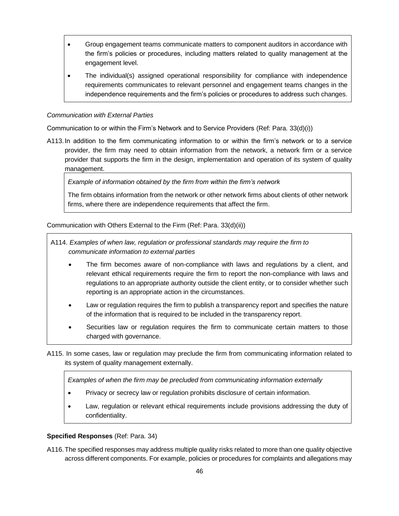- Group engagement teams communicate matters to component auditors in accordance with the firm's policies or procedures, including matters related to quality management at the engagement level.
- The individual(s) assigned operational responsibility for compliance with independence requirements communicates to relevant personnel and engagement teams changes in the independence requirements and the firm's policies or procedures to address such changes.

## *Communication with External Parties*

Communication to or within the Firm's Network and to Service Providers (Ref: Para. 33(d)(i))

A113.In addition to the firm communicating information to or within the firm's network or to a service provider, the firm may need to obtain information from the network, a network firm or a service provider that supports the firm in the design, implementation and operation of its system of quality management.

*Example of information obtained by the firm from within the firm's network*

The firm obtains information from the network or other network firms about clients of other network firms, where there are independence requirements that affect the firm.

Communication with Others External to the Firm (Ref: Para. 33(d)(ii))

A114. *Examples of when law, regulation or professional standards may require the firm to communicate information to external parties*

- The firm becomes aware of non-compliance with laws and regulations by a client, and relevant ethical requirements require the firm to report the non-compliance with laws and regulations to an appropriate authority outside the client entity, or to consider whether such reporting is an appropriate action in the circumstances.
- Law or regulation requires the firm to publish a transparency report and specifies the nature of the information that is required to be included in the transparency report.
- Securities law or regulation requires the firm to communicate certain matters to those charged with governance.
- A115. In some cases, law or regulation may preclude the firm from communicating information related to its system of quality management externally.

*Examples of when the firm may be precluded from communicating information externally*

- Privacy or secrecy law or regulation prohibits disclosure of certain information.
- Law, regulation or relevant ethical requirements include provisions addressing the duty of confidentiality.

## **Specified Responses** (Ref: Para. 34)

A116.The specified responses may address multiple quality risks related to more than one quality objective across different components. For example, policies or procedures for complaints and allegations may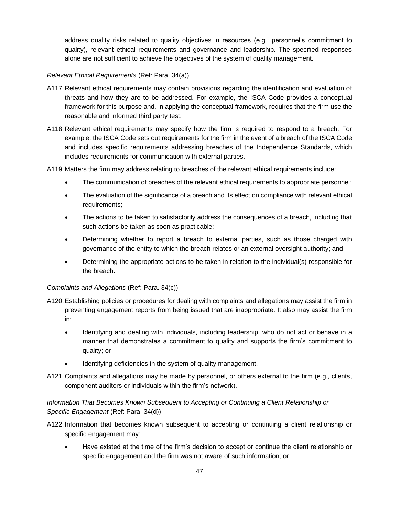address quality risks related to quality objectives in resources (e.g., personnel's commitment to quality), relevant ethical requirements and governance and leadership. The specified responses alone are not sufficient to achieve the objectives of the system of quality management.

## *Relevant Ethical Requirements* (Ref: Para. 34(a))

- A117.Relevant ethical requirements may contain provisions regarding the identification and evaluation of threats and how they are to be addressed. For example, the ISCA Code provides a conceptual framework for this purpose and, in applying the conceptual framework, requires that the firm use the reasonable and informed third party test.
- A118.Relevant ethical requirements may specify how the firm is required to respond to a breach. For example, the ISCA Code sets out requirements for the firm in the event of a breach of the ISCA Code and includes specific requirements addressing breaches of the Independence Standards, which includes requirements for communication with external parties.

A119.Matters the firm may address relating to breaches of the relevant ethical requirements include:

- The communication of breaches of the relevant ethical requirements to appropriate personnel;
- The evaluation of the significance of a breach and its effect on compliance with relevant ethical requirements;
- The actions to be taken to satisfactorily address the consequences of a breach, including that such actions be taken as soon as practicable;
- Determining whether to report a breach to external parties, such as those charged with governance of the entity to which the breach relates or an external oversight authority; and
- Determining the appropriate actions to be taken in relation to the individual(s) responsible for the breach.

### *Complaints and Allegations* (Ref: Para. 34(c))

- A120.Establishing policies or procedures for dealing with complaints and allegations may assist the firm in preventing engagement reports from being issued that are inappropriate. It also may assist the firm
	- in:
	- Identifying and dealing with individuals, including leadership, who do not act or behave in a manner that demonstrates a commitment to quality and supports the firm's commitment to quality; or
	- Identifying deficiencies in the system of quality management.
- A121.Complaints and allegations may be made by personnel, or others external to the firm (e.g., clients, component auditors or individuals within the firm's network).

# *Information That Becomes Known Subsequent to Accepting or Continuing a Client Relationship or Specific Engagement* (Ref: Para. 34(d))

- A122.Information that becomes known subsequent to accepting or continuing a client relationship or specific engagement may:
	- Have existed at the time of the firm's decision to accept or continue the client relationship or specific engagement and the firm was not aware of such information; or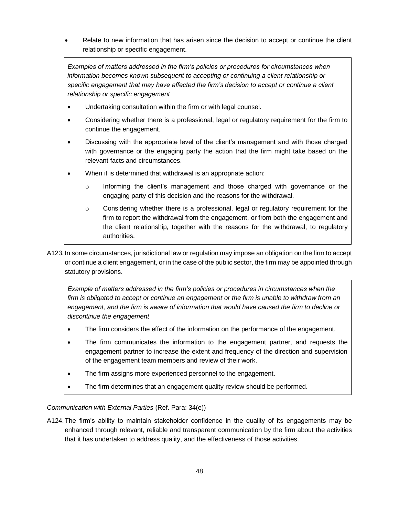• Relate to new information that has arisen since the decision to accept or continue the client relationship or specific engagement.

*Examples of matters addressed in the firm's policies or procedures for circumstances when information becomes known subsequent to accepting or continuing a client relationship or specific engagement that may have affected the firm's decision to accept or continue a client relationship or specific engagement*

- Undertaking consultation within the firm or with legal counsel.
- Considering whether there is a professional, legal or regulatory requirement for the firm to continue the engagement.
- Discussing with the appropriate level of the client's management and with those charged with governance or the engaging party the action that the firm might take based on the relevant facts and circumstances.
- When it is determined that withdrawal is an appropriate action:
	- o Informing the client's management and those charged with governance or the engaging party of this decision and the reasons for the withdrawal.
	- $\circ$  Considering whether there is a professional, legal or regulatory requirement for the firm to report the withdrawal from the engagement, or from both the engagement and the client relationship, together with the reasons for the withdrawal, to regulatory authorities.
- A123*.*In some circumstances, jurisdictional law or regulation may impose an obligation on the firm to accept or continue a client engagement, or in the case of the public sector, the firm may be appointed through statutory provisions.

*Example of matters addressed in the firm's policies or procedures in circumstances when the firm is obligated to accept or continue an engagement or the firm is unable to withdraw from an engagement, and the firm is aware of information that would have caused the firm to decline or discontinue the engagement*

- The firm considers the effect of the information on the performance of the engagement.
- The firm communicates the information to the engagement partner, and requests the engagement partner to increase the extent and frequency of the direction and supervision of the engagement team members and review of their work.
- The firm assigns more experienced personnel to the engagement.
- The firm determines that an engagement quality review should be performed.

*Communication with External Parties* (Ref. Para: 34(e))

A124.The firm's ability to maintain stakeholder confidence in the quality of its engagements may be enhanced through relevant, reliable and transparent communication by the firm about the activities that it has undertaken to address quality, and the effectiveness of those activities.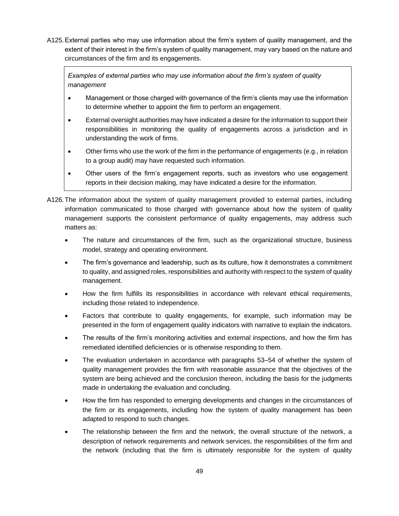A125.External parties who may use information about the firm's system of quality management, and the extent of their interest in the firm's system of quality management, may vary based on the nature and circumstances of the firm and its engagements.

*Examples of external parties who may use information about the firm's system of quality management*

- Management or those charged with governance of the firm's clients may use the information to determine whether to appoint the firm to perform an engagement.
- External oversight authorities may have indicated a desire for the information to support their responsibilities in monitoring the quality of engagements across a jurisdiction and in understanding the work of firms.
- Other firms who use the work of the firm in the performance of engagements (e.g., in relation to a group audit) may have requested such information.
- Other users of the firm's engagement reports, such as investors who use engagement reports in their decision making, may have indicated a desire for the information.
- A126.The information about the system of quality management provided to external parties, including information communicated to those charged with governance about how the system of quality management supports the consistent performance of quality engagements, may address such matters as:
	- The nature and circumstances of the firm, such as the organizational structure, business model, strategy and operating environment.
	- The firm's governance and leadership, such as its culture, how it demonstrates a commitment to quality, and assigned roles, responsibilities and authority with respect to the system of quality management.
	- How the firm fulfills its responsibilities in accordance with relevant ethical requirements, including those related to independence.
	- Factors that contribute to quality engagements, for example, such information may be presented in the form of engagement quality indicators with narrative to explain the indicators.
	- The results of the firm's monitoring activities and external inspections, and how the firm has remediated identified deficiencies or is otherwise responding to them.
	- The evaluation undertaken in accordance with paragraphs 53–54 of whether the system of quality management provides the firm with reasonable assurance that the objectives of the system are being achieved and the conclusion thereon, including the basis for the judgments made in undertaking the evaluation and concluding.
	- How the firm has responded to emerging developments and changes in the circumstances of the firm or its engagements, including how the system of quality management has been adapted to respond to such changes.
	- The relationship between the firm and the network, the overall structure of the network, a description of network requirements and network services, the responsibilities of the firm and the network (including that the firm is ultimately responsible for the system of quality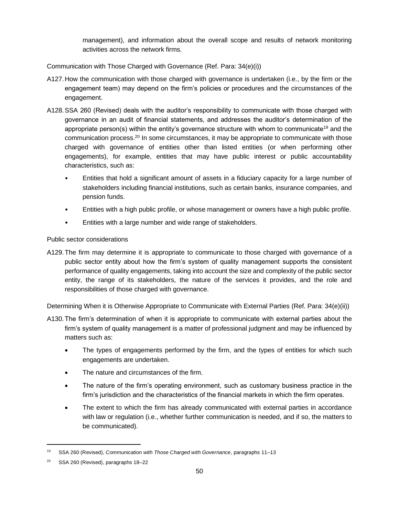management), and information about the overall scope and results of network monitoring activities across the network firms.

Communication with Those Charged with Governance (Ref. Para: 34(e)(i))

- A127.How the communication with those charged with governance is undertaken (i.e., by the firm or the engagement team) may depend on the firm's policies or procedures and the circumstances of the engagement.
- A128.SSA 260 (Revised) deals with the auditor's responsibility to communicate with those charged with governance in an audit of financial statements, and addresses the auditor's determination of the appropriate person(s) within the entity's governance structure with whom to communicate<sup>19</sup> and the communication process.<sup>20</sup> In some circumstances, it may be appropriate to communicate with those charged with governance of entities other than listed entities (or when performing other engagements), for example, entities that may have public interest or public accountability characteristics, such as:
	- Entities that hold a significant amount of assets in a fiduciary capacity for a large number of stakeholders including financial institutions, such as certain banks, insurance companies, and pension funds.
	- Entities with a high public profile, or whose management or owners have a high public profile.
	- Entities with a large number and wide range of stakeholders.

## Public sector considerations

A129.The firm may determine it is appropriate to communicate to those charged with governance of a public sector entity about how the firm's system of quality management supports the consistent performance of quality engagements, taking into account the size and complexity of the public sector entity, the range of its stakeholders, the nature of the services it provides, and the role and responsibilities of those charged with governance.

Determining When it is Otherwise Appropriate to Communicate with External Parties (Ref. Para: 34(e)(ii))

- A130.The firm's determination of when it is appropriate to communicate with external parties about the firm's system of quality management is a matter of professional judgment and may be influenced by matters such as:
	- The types of engagements performed by the firm, and the types of entities for which such engagements are undertaken.
	- The nature and circumstances of the firm.
	- The nature of the firm's operating environment, such as customary business practice in the firm's jurisdiction and the characteristics of the financial markets in which the firm operates.
	- The extent to which the firm has already communicated with external parties in accordance with law or regulation (i.e., whether further communication is needed, and if so, the matters to be communicated).

<sup>19</sup> SSA 260 (Revised), *Communication with Those Charged with Governance*, paragraphs 11–13

<sup>20</sup> SSA 260 (Revised), paragraphs 18–22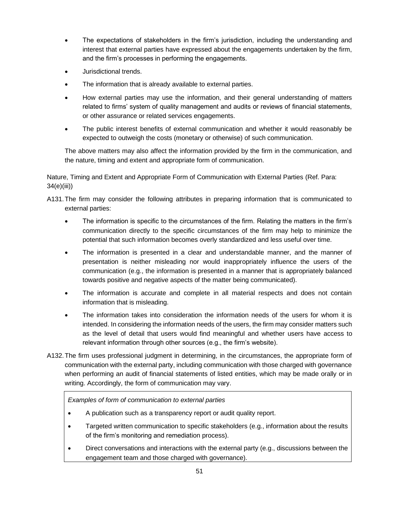- The expectations of stakeholders in the firm's jurisdiction, including the understanding and interest that external parties have expressed about the engagements undertaken by the firm, and the firm's processes in performing the engagements.
- Jurisdictional trends.
- The information that is already available to external parties.
- How external parties may use the information, and their general understanding of matters related to firms' system of quality management and audits or reviews of financial statements, or other assurance or related services engagements.
- The public interest benefits of external communication and whether it would reasonably be expected to outweigh the costs (monetary or otherwise) of such communication.

The above matters may also affect the information provided by the firm in the communication, and the nature, timing and extent and appropriate form of communication.

Nature, Timing and Extent and Appropriate Form of Communication with External Parties (Ref. Para: 34(e)(iii))

A131.The firm may consider the following attributes in preparing information that is communicated to external parties:

- The information is specific to the circumstances of the firm. Relating the matters in the firm's communication directly to the specific circumstances of the firm may help to minimize the potential that such information becomes overly standardized and less useful over time.
- The information is presented in a clear and understandable manner, and the manner of presentation is neither misleading nor would inappropriately influence the users of the communication (e.g., the information is presented in a manner that is appropriately balanced towards positive and negative aspects of the matter being communicated).
- The information is accurate and complete in all material respects and does not contain information that is misleading.
- The information takes into consideration the information needs of the users for whom it is intended. In considering the information needs of the users, the firm may consider matters such as the level of detail that users would find meaningful and whether users have access to relevant information through other sources (e.g., the firm's website).
- A132.The firm uses professional judgment in determining, in the circumstances, the appropriate form of communication with the external party, including communication with those charged with governance when performing an audit of financial statements of listed entities, which may be made orally or in writing. Accordingly, the form of communication may vary.

*Examples of form of communication to external parties* 

- A publication such as a transparency report or audit quality report.
- Targeted written communication to specific stakeholders (e.g., information about the results of the firm's monitoring and remediation process).
- Direct conversations and interactions with the external party (e.g., discussions between the engagement team and those charged with governance).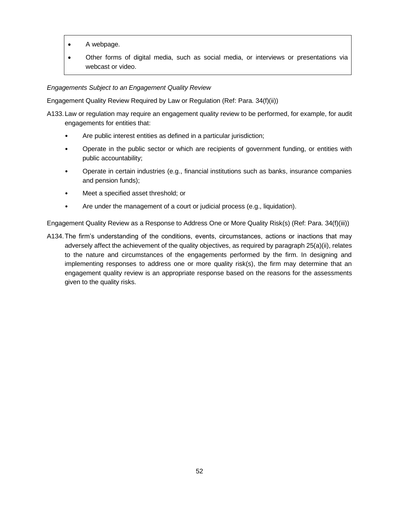- A webpage.
- Other forms of digital media, such as social media, or interviews or presentations via webcast or video.

## *Engagements Subject to an Engagement Quality Review*

Engagement Quality Review Required by Law or Regulation (Ref: Para. 34(f)(ii))

- A133.Law or regulation may require an engagement quality review to be performed, for example, for audit engagements for entities that:
	- Are public interest entities as defined in a particular jurisdiction;
	- Operate in the public sector or which are recipients of government funding, or entities with public accountability;
	- Operate in certain industries (e.g., financial institutions such as banks, insurance companies and pension funds);
	- Meet a specified asset threshold; or
	- Are under the management of a court or judicial process (e.g., liquidation).

Engagement Quality Review as a Response to Address One or More Quality Risk(s) (Ref: Para. 34(f)(iii))

A134.The firm's understanding of the conditions, events, circumstances, actions or inactions that may adversely affect the achievement of the quality objectives, as required by paragraph 25(a)(ii), relates to the nature and circumstances of the engagements performed by the firm. In designing and implementing responses to address one or more quality risk(s), the firm may determine that an engagement quality review is an appropriate response based on the reasons for the assessments given to the quality risks.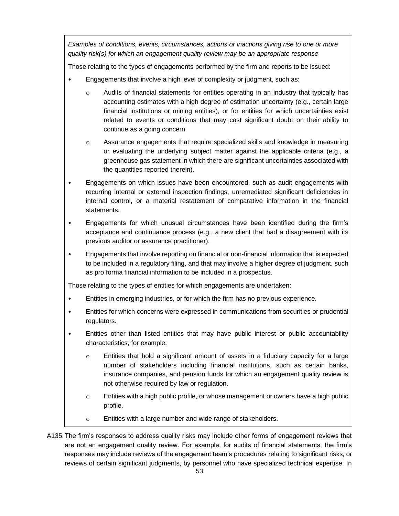*Examples of conditions, events, circumstances, actions or inactions giving rise to one or more quality risk(s) for which an engagement quality review may be an appropriate response*

Those relating to the types of engagements performed by the firm and reports to be issued:

- Engagements that involve a high level of complexity or judgment, such as:
	- o Audits of financial statements for entities operating in an industry that typically has accounting estimates with a high degree of estimation uncertainty (e.g., certain large financial institutions or mining entities), or for entities for which uncertainties exist related to events or conditions that may cast significant doubt on their ability to continue as a going concern.
	- o Assurance engagements that require specialized skills and knowledge in measuring or evaluating the underlying subject matter against the applicable criteria (e.g., a greenhouse gas statement in which there are significant uncertainties associated with the quantities reported therein).
- Engagements on which issues have been encountered, such as audit engagements with recurring internal or external inspection findings, unremediated significant deficiencies in internal control, or a material restatement of comparative information in the financial statements.
- Engagements for which unusual circumstances have been identified during the firm's acceptance and continuance process (e.g., a new client that had a disagreement with its previous auditor or assurance practitioner).
- Engagements that involve reporting on financial or non-financial information that is expected to be included in a regulatory filing, and that may involve a higher degree of judgment, such as pro forma financial information to be included in a prospectus.

Those relating to the types of entities for which engagements are undertaken:

- Entities in emerging industries, or for which the firm has no previous experience.
- Entities for which concerns were expressed in communications from securities or prudential regulators.
- Entities other than listed entities that may have public interest or public accountability characteristics, for example:
	- $\circ$  Entities that hold a significant amount of assets in a fiduciary capacity for a large number of stakeholders including financial institutions, such as certain banks, insurance companies, and pension funds for which an engagement quality review is not otherwise required by law or regulation.
	- o Entities with a high public profile, or whose management or owners have a high public profile.
	- o Entities with a large number and wide range of stakeholders.
- A135.The firm's responses to address quality risks may include other forms of engagement reviews that are not an engagement quality review. For example, for audits of financial statements, the firm's responses may include reviews of the engagement team's procedures relating to significant risks, or reviews of certain significant judgments, by personnel who have specialized technical expertise. In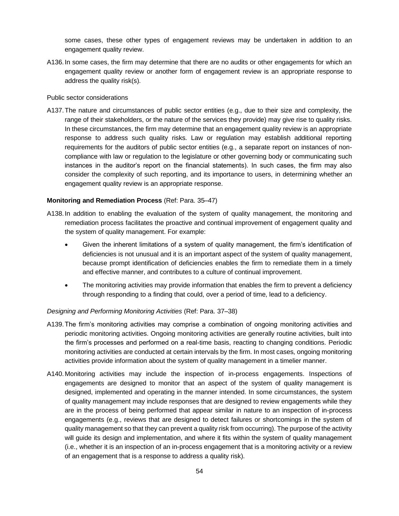some cases, these other types of engagement reviews may be undertaken in addition to an engagement quality review.

A136.In some cases, the firm may determine that there are no audits or other engagements for which an engagement quality review or another form of engagement review is an appropriate response to address the quality risk(s).

#### Public sector considerations

A137.The nature and circumstances of public sector entities (e.g., due to their size and complexity, the range of their stakeholders, or the nature of the services they provide) may give rise to quality risks. In these circumstances, the firm may determine that an engagement quality review is an appropriate response to address such quality risks. Law or regulation may establish additional reporting requirements for the auditors of public sector entities (e.g., a separate report on instances of noncompliance with law or regulation to the legislature or other governing body or communicating such instances in the auditor's report on the financial statements). In such cases, the firm may also consider the complexity of such reporting, and its importance to users, in determining whether an engagement quality review is an appropriate response.

### **Monitoring and Remediation Process** (Ref: Para. 35–47)

- A138.In addition to enabling the evaluation of the system of quality management, the monitoring and remediation process facilitates the proactive and continual improvement of engagement quality and the system of quality management. For example:
	- Given the inherent limitations of a system of quality management, the firm's identification of deficiencies is not unusual and it is an important aspect of the system of quality management, because prompt identification of deficiencies enables the firm to remediate them in a timely and effective manner, and contributes to a culture of continual improvement.
	- The monitoring activities may provide information that enables the firm to prevent a deficiency through responding to a finding that could, over a period of time, lead to a deficiency.

### *Designing and Performing Monitoring Activities* (Ref: Para. 37–38)

- A139.The firm's monitoring activities may comprise a combination of ongoing monitoring activities and periodic monitoring activities. Ongoing monitoring activities are generally routine activities, built into the firm's processes and performed on a real-time basis, reacting to changing conditions. Periodic monitoring activities are conducted at certain intervals by the firm. In most cases, ongoing monitoring activities provide information about the system of quality management in a timelier manner.
- A140.Monitoring activities may include the inspection of in-process engagements. Inspections of engagements are designed to monitor that an aspect of the system of quality management is designed, implemented and operating in the manner intended. In some circumstances, the system of quality management may include responses that are designed to review engagements while they are in the process of being performed that appear similar in nature to an inspection of in-process engagements (e.g., reviews that are designed to detect failures or shortcomings in the system of quality management so that they can prevent a quality risk from occurring). The purpose of the activity will guide its design and implementation, and where it fits within the system of quality management (i.e., whether it is an inspection of an in-process engagement that is a monitoring activity or a review of an engagement that is a response to address a quality risk).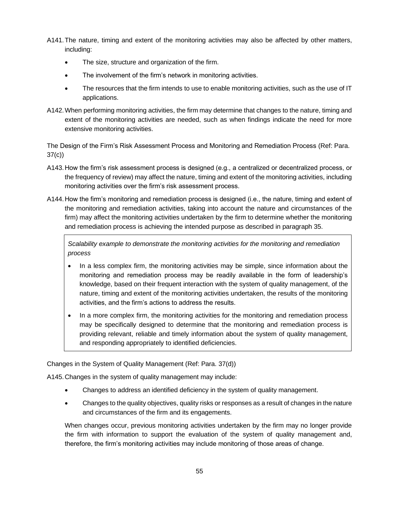A141.The nature, timing and extent of the monitoring activities may also be affected by other matters, including:

- The size, structure and organization of the firm.
- The involvement of the firm's network in monitoring activities.
- The resources that the firm intends to use to enable monitoring activities, such as the use of IT applications.
- A142.When performing monitoring activities, the firm may determine that changes to the nature, timing and extent of the monitoring activities are needed, such as when findings indicate the need for more extensive monitoring activities.

The Design of the Firm's Risk Assessment Process and Monitoring and Remediation Process (Ref: Para. 37(c))

- A143.How the firm's risk assessment process is designed (e.g., a centralized or decentralized process, or the frequency of review) may affect the nature, timing and extent of the monitoring activities, including monitoring activities over the firm's risk assessment process.
- A144.How the firm's monitoring and remediation process is designed (i.e., the nature, timing and extent of the monitoring and remediation activities, taking into account the nature and circumstances of the firm) may affect the monitoring activities undertaken by the firm to determine whether the monitoring and remediation process is achieving the intended purpose as described in paragraph 35.

*Scalability example to demonstrate the monitoring activities for the monitoring and remediation process* 

- In a less complex firm, the monitoring activities may be simple, since information about the monitoring and remediation process may be readily available in the form of leadership's knowledge, based on their frequent interaction with the system of quality management, of the nature, timing and extent of the monitoring activities undertaken, the results of the monitoring activities, and the firm's actions to address the results.
- In a more complex firm, the monitoring activities for the monitoring and remediation process may be specifically designed to determine that the monitoring and remediation process is providing relevant, reliable and timely information about the system of quality management, and responding appropriately to identified deficiencies.

Changes in the System of Quality Management (Ref: Para. 37(d))

A145.Changes in the system of quality management may include:

- Changes to address an identified deficiency in the system of quality management.
- Changes to the quality objectives, quality risks or responses as a result of changes in the nature and circumstances of the firm and its engagements.

When changes occur, previous monitoring activities undertaken by the firm may no longer provide the firm with information to support the evaluation of the system of quality management and, therefore, the firm's monitoring activities may include monitoring of those areas of change.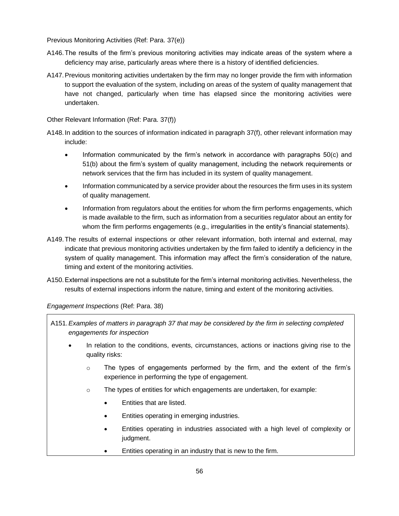Previous Monitoring Activities (Ref: Para. 37(e))

- A146.The results of the firm's previous monitoring activities may indicate areas of the system where a deficiency may arise, particularly areas where there is a history of identified deficiencies.
- A147.Previous monitoring activities undertaken by the firm may no longer provide the firm with information to support the evaluation of the system, including on areas of the system of quality management that have not changed, particularly when time has elapsed since the monitoring activities were undertaken.

Other Relevant Information (Ref: Para. 37(f))

- A148.In addition to the sources of information indicated in paragraph 37(f), other relevant information may include:
	- Information communicated by the firm's network in accordance with paragraphs 50(c) and 51(b) about the firm's system of quality management, including the network requirements or network services that the firm has included in its system of quality management.
	- Information communicated by a service provider about the resources the firm uses in its system of quality management.
	- Information from regulators about the entities for whom the firm performs engagements, which is made available to the firm, such as information from a securities regulator about an entity for whom the firm performs engagements (e.g., irregularities in the entity's financial statements).
- A149.The results of external inspections or other relevant information, both internal and external, may indicate that previous monitoring activities undertaken by the firm failed to identify a deficiency in the system of quality management. This information may affect the firm's consideration of the nature, timing and extent of the monitoring activities.
- A150.External inspections are not a substitute for the firm's internal monitoring activities. Nevertheless, the results of external inspections inform the nature, timing and extent of the monitoring activities.

*Engagement Inspections* (Ref: Para. 38)

- A151.*Examples of matters in paragraph 37 that may be considered by the firm in selecting completed engagements for inspection*
	- In relation to the conditions, events, circumstances, actions or inactions giving rise to the quality risks:
		- $\circ$  The types of engagements performed by the firm, and the extent of the firm's experience in performing the type of engagement.
		- o The types of entities for which engagements are undertaken, for example:
			- Entities that are listed.
			- Entities operating in emerging industries.
			- Entities operating in industries associated with a high level of complexity or judgment.
			- Entities operating in an industry that is new to the firm.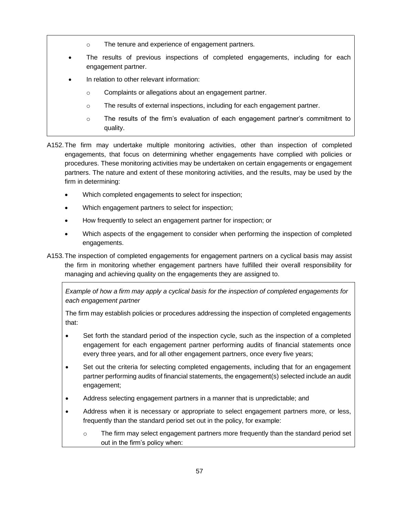- o The tenure and experience of engagement partners.
- The results of previous inspections of completed engagements, including for each engagement partner.
- In relation to other relevant information:
	- o Complaints or allegations about an engagement partner.
	- o The results of external inspections, including for each engagement partner.
	- $\circ$  The results of the firm's evaluation of each engagement partner's commitment to quality.
- A152.The firm may undertake multiple monitoring activities, other than inspection of completed engagements, that focus on determining whether engagements have complied with policies or procedures. These monitoring activities may be undertaken on certain engagements or engagement partners. The nature and extent of these monitoring activities, and the results, may be used by the firm in determining:
	- Which completed engagements to select for inspection;
	- Which engagement partners to select for inspection;
	- How frequently to select an engagement partner for inspection; or
	- Which aspects of the engagement to consider when performing the inspection of completed engagements.
- A153.The inspection of completed engagements for engagement partners on a cyclical basis may assist the firm in monitoring whether engagement partners have fulfilled their overall responsibility for managing and achieving quality on the engagements they are assigned to.

*Example of how a firm may apply a cyclical basis for the inspection of completed engagements for each engagement partner* 

The firm may establish policies or procedures addressing the inspection of completed engagements that:

- Set forth the standard period of the inspection cycle, such as the inspection of a completed engagement for each engagement partner performing audits of financial statements once every three years, and for all other engagement partners, once every five years;
- Set out the criteria for selecting completed engagements, including that for an engagement partner performing audits of financial statements, the engagement(s) selected include an audit engagement;
- Address selecting engagement partners in a manner that is unpredictable; and
- Address when it is necessary or appropriate to select engagement partners more, or less, frequently than the standard period set out in the policy, for example:
	- o The firm may select engagement partners more frequently than the standard period set out in the firm's policy when: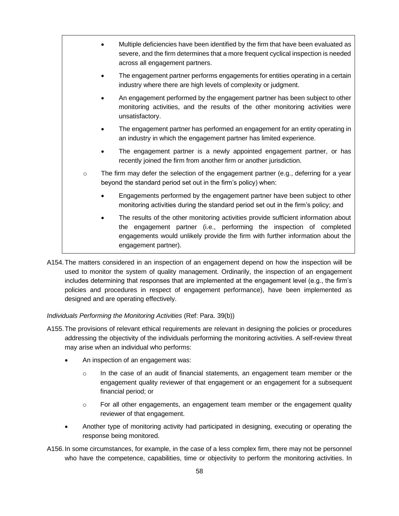|                                                                           |  | Multiple deficiencies have been identified by the firm that have been evaluated as<br>severe, and the firm determines that a more frequent cyclical inspection is needed<br>across all engagement partners.                                                           |
|---------------------------------------------------------------------------|--|-----------------------------------------------------------------------------------------------------------------------------------------------------------------------------------------------------------------------------------------------------------------------|
|                                                                           |  | The engagement partner performs engagements for entities operating in a certain<br>industry where there are high levels of complexity or judgment.                                                                                                                    |
|                                                                           |  | An engagement performed by the engagement partner has been subject to other<br>monitoring activities, and the results of the other monitoring activities were<br>unsatisfactory.                                                                                      |
|                                                                           |  | The engagement partner has performed an engagement for an entity operating in<br>an industry in which the engagement partner has limited experience.                                                                                                                  |
|                                                                           |  | The engagement partner is a newly appointed engagement partner, or has<br>recently joined the firm from another firm or another jurisdiction.                                                                                                                         |
| $\circ$<br>beyond the standard period set out in the firm's policy) when: |  | The firm may defer the selection of the engagement partner (e.g., deferring for a year                                                                                                                                                                                |
|                                                                           |  | Engagements performed by the engagement partner have been subject to other<br>monitoring activities during the standard period set out in the firm's policy; and                                                                                                      |
|                                                                           |  | The results of the other monitoring activities provide sufficient information about<br>the engagement partner (i.e., performing the inspection of completed<br>engagements would unlikely provide the firm with further information about the<br>engagement partner). |

A154.The matters considered in an inspection of an engagement depend on how the inspection will be used to monitor the system of quality management. Ordinarily, the inspection of an engagement includes determining that responses that are implemented at the engagement level (e.g., the firm's policies and procedures in respect of engagement performance), have been implemented as designed and are operating effectively.

### *Individuals Performing the Monitoring Activities* (Ref: Para. 39(b))

- A155.The provisions of relevant ethical requirements are relevant in designing the policies or procedures addressing the objectivity of the individuals performing the monitoring activities. A self-review threat may arise when an individual who performs:
	- An inspection of an engagement was:
		- o In the case of an audit of financial statements, an engagement team member or the engagement quality reviewer of that engagement or an engagement for a subsequent financial period; or
		- $\circ$  For all other engagements, an engagement team member or the engagement quality reviewer of that engagement.
	- Another type of monitoring activity had participated in designing, executing or operating the response being monitored.
- A156.In some circumstances, for example, in the case of a less complex firm, there may not be personnel who have the competence, capabilities, time or objectivity to perform the monitoring activities. In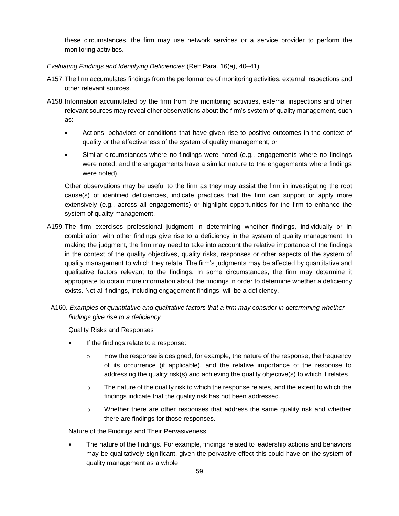these circumstances, the firm may use network services or a service provider to perform the monitoring activities.

*Evaluating Findings and Identifying Deficiencies* (Ref: Para. 16(a), 40–41)

- A157.The firm accumulates findings from the performance of monitoring activities, external inspections and other relevant sources.
- A158.Information accumulated by the firm from the monitoring activities, external inspections and other relevant sources may reveal other observations about the firm's system of quality management, such as:
	- Actions, behaviors or conditions that have given rise to positive outcomes in the context of quality or the effectiveness of the system of quality management; or
	- Similar circumstances where no findings were noted (e.g., engagements where no findings were noted, and the engagements have a similar nature to the engagements where findings were noted).

Other observations may be useful to the firm as they may assist the firm in investigating the root cause(s) of identified deficiencies, indicate practices that the firm can support or apply more extensively (e.g., across all engagements) or highlight opportunities for the firm to enhance the system of quality management.

A159.The firm exercises professional judgment in determining whether findings, individually or in combination with other findings give rise to a deficiency in the system of quality management. In making the judgment, the firm may need to take into account the relative importance of the findings in the context of the quality objectives, quality risks, responses or other aspects of the system of quality management to which they relate. The firm's judgments may be affected by quantitative and qualitative factors relevant to the findings. In some circumstances, the firm may determine it appropriate to obtain more information about the findings in order to determine whether a deficiency exists. Not all findings, including engagement findings, will be a deficiency.

A160. *Examples of quantitative and qualitative factors that a firm may consider in determining whether findings give rise to a deficiency*

Quality Risks and Responses

- If the findings relate to a response:
	- $\circ$  How the response is designed, for example, the nature of the response, the frequency of its occurrence (if applicable), and the relative importance of the response to addressing the quality risk(s) and achieving the quality objective(s) to which it relates.
	- $\circ$  The nature of the quality risk to which the response relates, and the extent to which the findings indicate that the quality risk has not been addressed.
	- o Whether there are other responses that address the same quality risk and whether there are findings for those responses.

Nature of the Findings and Their Pervasiveness

• The nature of the findings. For example, findings related to leadership actions and behaviors may be qualitatively significant, given the pervasive effect this could have on the system of quality management as a whole.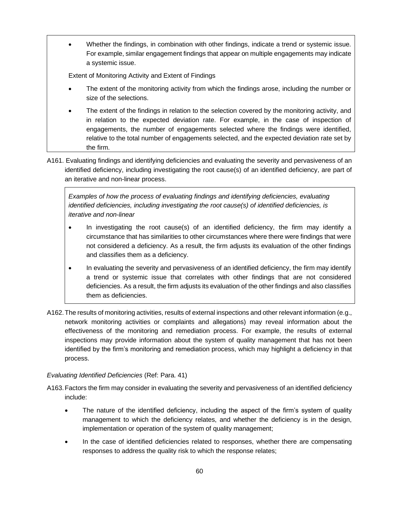• Whether the findings, in combination with other findings, indicate a trend or systemic issue. For example, similar engagement findings that appear on multiple engagements may indicate a systemic issue.

Extent of Monitoring Activity and Extent of Findings

- The extent of the monitoring activity from which the findings arose, including the number or size of the selections.
- The extent of the findings in relation to the selection covered by the monitoring activity, and in relation to the expected deviation rate. For example, in the case of inspection of engagements, the number of engagements selected where the findings were identified, relative to the total number of engagements selected, and the expected deviation rate set by the firm.
- A161. Evaluating findings and identifying deficiencies and evaluating the severity and pervasiveness of an identified deficiency, including investigating the root cause(s) of an identified deficiency, are part of an iterative and non-linear process.

*Examples of how the process of evaluating findings and identifying deficiencies, evaluating identified deficiencies, including investigating the root cause(s) of identified deficiencies, is iterative and non-linear*

- In investigating the root cause(s) of an identified deficiency, the firm may identify a circumstance that has similarities to other circumstances where there were findings that were not considered a deficiency. As a result, the firm adjusts its evaluation of the other findings and classifies them as a deficiency.
- In evaluating the severity and pervasiveness of an identified deficiency, the firm may identify a trend or systemic issue that correlates with other findings that are not considered deficiencies. As a result, the firm adjusts its evaluation of the other findings and also classifies them as deficiencies.
- A162.The results of monitoring activities, results of external inspections and other relevant information (e.g., network monitoring activities or complaints and allegations) may reveal information about the effectiveness of the monitoring and remediation process. For example, the results of external inspections may provide information about the system of quality management that has not been identified by the firm's monitoring and remediation process, which may highlight a deficiency in that process.

## *Evaluating Identified Deficiencies* (Ref: Para. 41)

- A163.Factors the firm may consider in evaluating the severity and pervasiveness of an identified deficiency include:
	- The nature of the identified deficiency, including the aspect of the firm's system of quality management to which the deficiency relates, and whether the deficiency is in the design, implementation or operation of the system of quality management;
	- In the case of identified deficiencies related to responses, whether there are compensating responses to address the quality risk to which the response relates;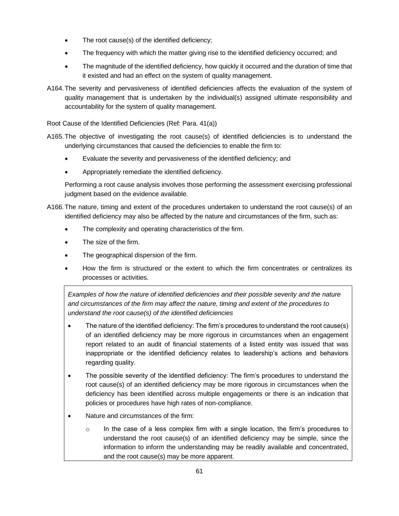- The root cause(s) of the identified deficiency;
- The frequency with which the matter giving rise to the identified deficiency occurred; and
- The magnitude of the identified deficiency, how quickly it occurred and the duration of time that it existed and had an effect on the system of quality management.
- A164.The severity and pervasiveness of identified deficiencies affects the evaluation of the system of quality management that is undertaken by the individual(s) assigned ultimate responsibility and accountability for the system of quality management.

Root Cause of the Identified Deficiencies (Ref: Para. 41(a))

- A165.The objective of investigating the root cause(s) of identified deficiencies is to understand the underlying circumstances that caused the deficiencies to enable the firm to:
	- Evaluate the severity and pervasiveness of the identified deficiency; and
	- Appropriately remediate the identified deficiency.

Performing a root cause analysis involves those performing the assessment exercising professional judgment based on the evidence available.

- A166.The nature, timing and extent of the procedures undertaken to understand the root cause(s) of an identified deficiency may also be affected by the nature and circumstances of the firm, such as:
	- The complexity and operating characteristics of the firm.
	- The size of the firm.
	- The geographical dispersion of the firm.
	- How the firm is structured or the extent to which the firm concentrates or centralizes its processes or activities.

*Examples of how the nature of identified deficiencies and their possible severity and the nature and circumstances of the firm may affect the nature, timing and extent of the procedures to understand the root cause(s) of the identified deficiencies*

- The nature of the identified deficiency: The firm's procedures to understand the root cause(s) of an identified deficiency may be more rigorous in circumstances when an engagement report related to an audit of financial statements of a listed entity was issued that was inappropriate or the identified deficiency relates to leadership's actions and behaviors regarding quality.
- The possible severity of the identified deficiency: The firm's procedures to understand the root cause(s) of an identified deficiency may be more rigorous in circumstances when the deficiency has been identified across multiple engagements or there is an indication that policies or procedures have high rates of non-compliance.
- Nature and circumstances of the firm:
	- $\circ$  In the case of a less complex firm with a single location, the firm's procedures to understand the root cause(s) of an identified deficiency may be simple, since the information to inform the understanding may be readily available and concentrated, and the root cause(s) may be more apparent.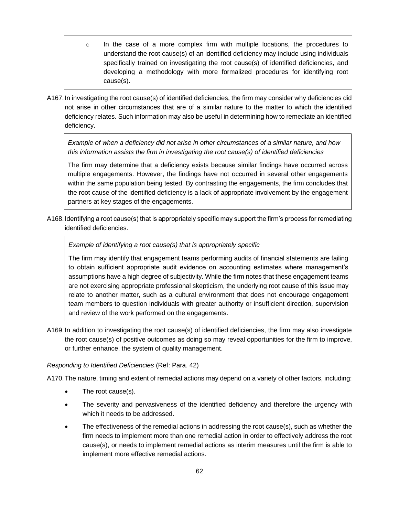- $\circ$  In the case of a more complex firm with multiple locations, the procedures to understand the root cause(s) of an identified deficiency may include using individuals specifically trained on investigating the root cause(s) of identified deficiencies, and developing a methodology with more formalized procedures for identifying root cause(s).
- A167.In investigating the root cause(s) of identified deficiencies, the firm may consider why deficiencies did not arise in other circumstances that are of a similar nature to the matter to which the identified deficiency relates. Such information may also be useful in determining how to remediate an identified deficiency.

*Example of when a deficiency did not arise in other circumstances of a similar nature, and how this information assists the firm in investigating the root cause(s) of identified deficiencies*

The firm may determine that a deficiency exists because similar findings have occurred across multiple engagements. However, the findings have not occurred in several other engagements within the same population being tested. By contrasting the engagements, the firm concludes that the root cause of the identified deficiency is a lack of appropriate involvement by the engagement partners at key stages of the engagements.

A168.Identifying a root cause(s) that is appropriately specific may support the firm's process for remediating identified deficiencies.

## *Example of identifying a root cause(s) that is appropriately specific*

The firm may identify that engagement teams performing audits of financial statements are failing to obtain sufficient appropriate audit evidence on accounting estimates where management's assumptions have a high degree of subjectivity. While the firm notes that these engagement teams are not exercising appropriate professional skepticism, the underlying root cause of this issue may relate to another matter, such as a cultural environment that does not encourage engagement team members to question individuals with greater authority or insufficient direction, supervision and review of the work performed on the engagements.

A169.In addition to investigating the root cause(s) of identified deficiencies, the firm may also investigate the root cause(s) of positive outcomes as doing so may reveal opportunities for the firm to improve, or further enhance, the system of quality management.

### *Responding to Identified Deficiencies* (Ref: Para. 42)

A170.The nature, timing and extent of remedial actions may depend on a variety of other factors, including:

- The root cause(s).
- The severity and pervasiveness of the identified deficiency and therefore the urgency with which it needs to be addressed.
- The effectiveness of the remedial actions in addressing the root cause(s), such as whether the firm needs to implement more than one remedial action in order to effectively address the root cause(s), or needs to implement remedial actions as interim measures until the firm is able to implement more effective remedial actions.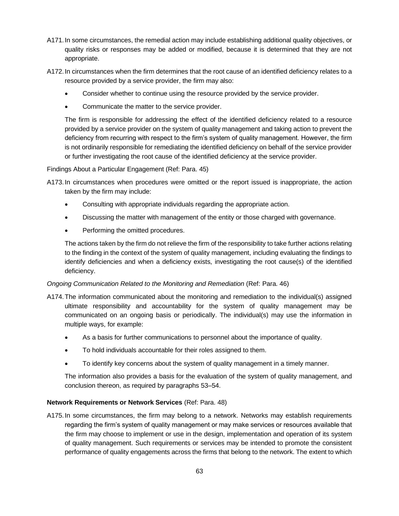- A171.In some circumstances, the remedial action may include establishing additional quality objectives, or quality risks or responses may be added or modified, because it is determined that they are not appropriate.
- A172.In circumstances when the firm determines that the root cause of an identified deficiency relates to a resource provided by a service provider, the firm may also:
	- Consider whether to continue using the resource provided by the service provider.
	- Communicate the matter to the service provider.

The firm is responsible for addressing the effect of the identified deficiency related to a resource provided by a service provider on the system of quality management and taking action to prevent the deficiency from recurring with respect to the firm's system of quality management. However, the firm is not ordinarily responsible for remediating the identified deficiency on behalf of the service provider or further investigating the root cause of the identified deficiency at the service provider.

Findings About a Particular Engagement (Ref: Para. 45)

A173.In circumstances when procedures were omitted or the report issued is inappropriate, the action taken by the firm may include:

- Consulting with appropriate individuals regarding the appropriate action.
- Discussing the matter with management of the entity or those charged with governance.
- Performing the omitted procedures.

The actions taken by the firm do not relieve the firm of the responsibility to take further actions relating to the finding in the context of the system of quality management, including evaluating the findings to identify deficiencies and when a deficiency exists, investigating the root cause(s) of the identified deficiency.

## *Ongoing Communication Related to the Monitoring and Remediation* (Ref: Para. 46)

- A174.The information communicated about the monitoring and remediation to the individual(s) assigned ultimate responsibility and accountability for the system of quality management may be communicated on an ongoing basis or periodically. The individual(s) may use the information in multiple ways, for example:
	- As a basis for further communications to personnel about the importance of quality.
	- To hold individuals accountable for their roles assigned to them.
	- To identify key concerns about the system of quality management in a timely manner.

The information also provides a basis for the evaluation of the system of quality management, and conclusion thereon, as required by paragraphs 53–54.

## **Network Requirements or Network Services** (Ref: Para. 48)

A175.In some circumstances, the firm may belong to a network. Networks may establish requirements regarding the firm's system of quality management or may make services or resources available that the firm may choose to implement or use in the design, implementation and operation of its system of quality management. Such requirements or services may be intended to promote the consistent performance of quality engagements across the firms that belong to the network. The extent to which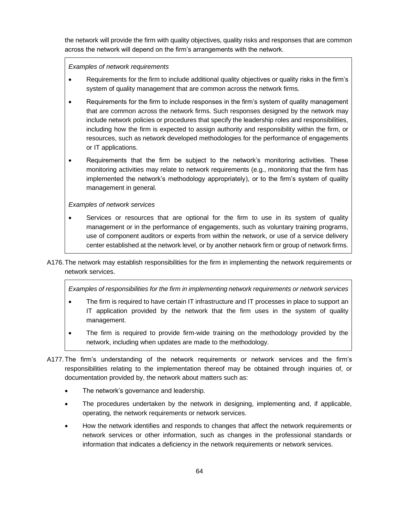the network will provide the firm with quality objectives, quality risks and responses that are common across the network will depend on the firm's arrangements with the network.

*Examples of network requirements* 

- Requirements for the firm to include additional quality objectives or quality risks in the firm's system of quality management that are common across the network firms.
- Requirements for the firm to include responses in the firm's system of quality management that are common across the network firms. Such responses designed by the network may include network policies or procedures that specify the leadership roles and responsibilities, including how the firm is expected to assign authority and responsibility within the firm, or resources, such as network developed methodologies for the performance of engagements or IT applications.
- Requirements that the firm be subject to the network's monitoring activities. These monitoring activities may relate to network requirements (e.g., monitoring that the firm has implemented the network's methodology appropriately), or to the firm's system of quality management in general.

### *Examples of network services*

- Services or resources that are optional for the firm to use in its system of quality management or in the performance of engagements, such as voluntary training programs, use of component auditors or experts from within the network, or use of a service delivery center established at the network level, or by another network firm or group of network firms.
- A176.The network may establish responsibilities for the firm in implementing the network requirements or network services.

*Examples of responsibilities for the firm in implementing network requirements or network services* 

- The firm is required to have certain IT infrastructure and IT processes in place to support an IT application provided by the network that the firm uses in the system of quality management.
- The firm is required to provide firm-wide training on the methodology provided by the network, including when updates are made to the methodology.
- A177.The firm's understanding of the network requirements or network services and the firm's responsibilities relating to the implementation thereof may be obtained through inquiries of, or documentation provided by, the network about matters such as:
	- The network's governance and leadership.
	- The procedures undertaken by the network in designing, implementing and, if applicable, operating, the network requirements or network services.
	- How the network identifies and responds to changes that affect the network requirements or network services or other information, such as changes in the professional standards or information that indicates a deficiency in the network requirements or network services.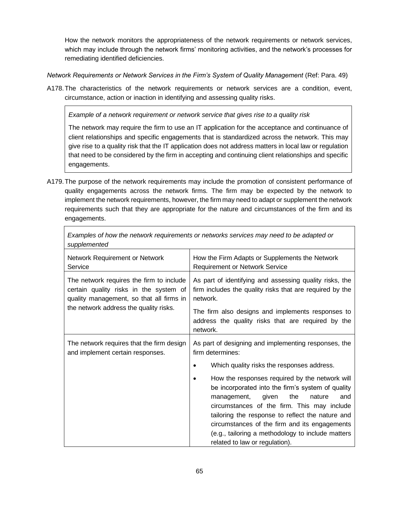How the network monitors the appropriateness of the network requirements or network services, which may include through the network firms' monitoring activities, and the network's processes for remediating identified deficiencies.

*Network Requirements or Network Services in the Firm's System of Quality Management* (Ref: Para. 49)

A178.The characteristics of the network requirements or network services are a condition, event, circumstance, action or inaction in identifying and assessing quality risks.

*Example of a network requirement or network service that gives rise to a quality risk*

The network may require the firm to use an IT application for the acceptance and continuance of client relationships and specific engagements that is standardized across the network. This may give rise to a quality risk that the IT application does not address matters in local law or regulation that need to be considered by the firm in accepting and continuing client relationships and specific engagements.

A179.The purpose of the network requirements may include the promotion of consistent performance of quality engagements across the network firms. The firm may be expected by the network to implement the network requirements, however, the firm may need to adapt or supplement the network requirements such that they are appropriate for the nature and circumstances of the firm and its engagements.

| supplemented                                                                                                                                                             |                                                                                                                                                                                                                                                                                                                                                                                                                                                                                                                               |  |  |  |
|--------------------------------------------------------------------------------------------------------------------------------------------------------------------------|-------------------------------------------------------------------------------------------------------------------------------------------------------------------------------------------------------------------------------------------------------------------------------------------------------------------------------------------------------------------------------------------------------------------------------------------------------------------------------------------------------------------------------|--|--|--|
| Network Requirement or Network<br>Service                                                                                                                                | How the Firm Adapts or Supplements the Network<br><b>Requirement or Network Service</b>                                                                                                                                                                                                                                                                                                                                                                                                                                       |  |  |  |
| The network requires the firm to include<br>certain quality risks in the system of<br>quality management, so that all firms in<br>the network address the quality risks. | As part of identifying and assessing quality risks, the<br>firm includes the quality risks that are required by the<br>network.<br>The firm also designs and implements responses to<br>address the quality risks that are required by the<br>network.                                                                                                                                                                                                                                                                        |  |  |  |
| The network requires that the firm design<br>and implement certain responses.                                                                                            | As part of designing and implementing responses, the<br>firm determines:<br>Which quality risks the responses address.<br>٠<br>How the responses required by the network will<br>be incorporated into the firm's system of quality<br>given<br>the<br>management,<br>nature<br>and<br>circumstances of the firm. This may include<br>tailoring the response to reflect the nature and<br>circumstances of the firm and its engagements<br>(e.g., tailoring a methodology to include matters<br>related to law or regulation). |  |  |  |

*Examples of how the network requirements or networks services may need to be adapted or*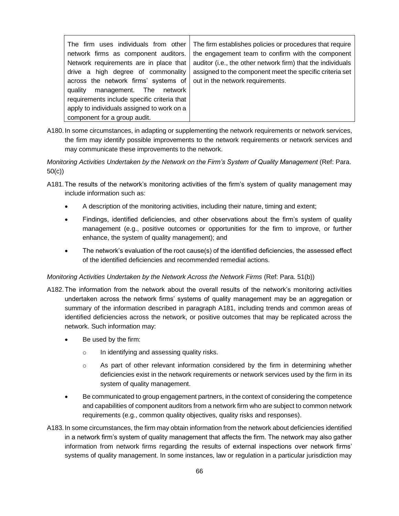| The firm establishes policies or procedures that require<br>The firm uses individuals from other<br>network firms as component auditors.<br>Network requirements are in place that<br>drive a high degree of commonality<br>across the network firms' systems of<br>management. The network<br>quality<br>requirements include specific criteria that<br>apply to individuals assigned to work on a<br>component for a group audit. | the engagement team to confirm with the component<br>auditor (i.e., the other network firm) that the individuals<br>assigned to the component meet the specific criteria set<br>out in the network requirements. |
|-------------------------------------------------------------------------------------------------------------------------------------------------------------------------------------------------------------------------------------------------------------------------------------------------------------------------------------------------------------------------------------------------------------------------------------|------------------------------------------------------------------------------------------------------------------------------------------------------------------------------------------------------------------|
|-------------------------------------------------------------------------------------------------------------------------------------------------------------------------------------------------------------------------------------------------------------------------------------------------------------------------------------------------------------------------------------------------------------------------------------|------------------------------------------------------------------------------------------------------------------------------------------------------------------------------------------------------------------|

A180.In some circumstances, in adapting or supplementing the network requirements or network services, the firm may identify possible improvements to the network requirements or network services and may communicate these improvements to the network.

*Monitoring Activities Undertaken by the Network on the Firm's System of Quality Management* (Ref: Para. 50(c))

- A181.The results of the network's monitoring activities of the firm's system of quality management may include information such as:
	- A description of the monitoring activities, including their nature, timing and extent;
	- Findings, identified deficiencies, and other observations about the firm's system of quality management (e.g., positive outcomes or opportunities for the firm to improve, or further enhance, the system of quality management); and
	- The network's evaluation of the root cause(s) of the identified deficiencies, the assessed effect of the identified deficiencies and recommended remedial actions.

### *Monitoring Activities Undertaken by the Network Across the Network Firms (Ref: Para. 51(b))*

- A182.The information from the network about the overall results of the network's monitoring activities undertaken across the network firms' systems of quality management may be an aggregation or summary of the information described in paragraph A181, including trends and common areas of identified deficiencies across the network, or positive outcomes that may be replicated across the network. Such information may:
	- Be used by the firm:
		- o In identifying and assessing quality risks.
		- $\circ$  As part of other relevant information considered by the firm in determining whether deficiencies exist in the network requirements or network services used by the firm in its system of quality management.
	- Be communicated to group engagement partners, in the context of considering the competence and capabilities of component auditors from a network firm who are subject to common network requirements (e.g., common quality objectives, quality risks and responses).
- A183.In some circumstances, the firm may obtain information from the network about deficiencies identified in a network firm's system of quality management that affects the firm. The network may also gather information from network firms regarding the results of external inspections over network firms' systems of quality management. In some instances, law or regulation in a particular jurisdiction may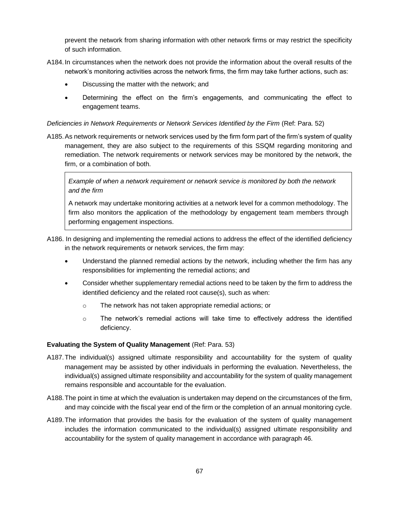prevent the network from sharing information with other network firms or may restrict the specificity of such information.

- A184.In circumstances when the network does not provide the information about the overall results of the network's monitoring activities across the network firms, the firm may take further actions, such as:
	- Discussing the matter with the network; and
	- Determining the effect on the firm's engagements, and communicating the effect to engagement teams.

### *Deficiencies in Network Requirements or Network Services Identified by the Firm* (Ref: Para. 52)

A185.As network requirements or network services used by the firm form part of the firm's system of quality management, they are also subject to the requirements of this SSQM regarding monitoring and remediation. The network requirements or network services may be monitored by the network, the firm, or a combination of both.

*Example of when a network requirement or network service is monitored by both the network and the firm*

A network may undertake monitoring activities at a network level for a common methodology. The firm also monitors the application of the methodology by engagement team members through performing engagement inspections.

- A186. In designing and implementing the remedial actions to address the effect of the identified deficiency in the network requirements or network services, the firm may:
	- Understand the planned remedial actions by the network, including whether the firm has any responsibilities for implementing the remedial actions; and
	- Consider whether supplementary remedial actions need to be taken by the firm to address the identified deficiency and the related root cause(s), such as when:
		- o The network has not taken appropriate remedial actions; or
		- $\circ$  The network's remedial actions will take time to effectively address the identified deficiency.

### **Evaluating the System of Quality Management** (Ref: Para. 53)

- A187.The individual(s) assigned ultimate responsibility and accountability for the system of quality management may be assisted by other individuals in performing the evaluation. Nevertheless, the individual(s) assigned ultimate responsibility and accountability for the system of quality management remains responsible and accountable for the evaluation.
- A188.The point in time at which the evaluation is undertaken may depend on the circumstances of the firm, and may coincide with the fiscal year end of the firm or the completion of an annual monitoring cycle.
- A189.The information that provides the basis for the evaluation of the system of quality management includes the information communicated to the individual(s) assigned ultimate responsibility and accountability for the system of quality management in accordance with paragraph 46.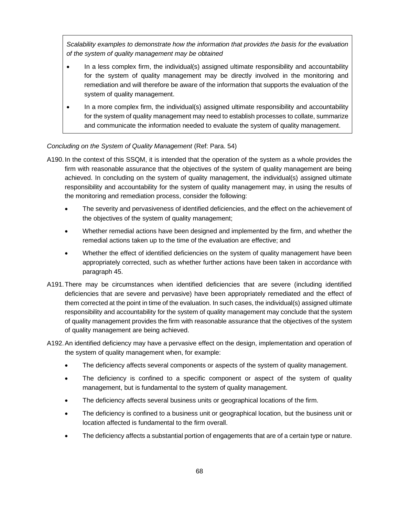*Scalability examples to demonstrate how the information that provides the basis for the evaluation of the system of quality management may be obtained*

- In a less complex firm, the individual(s) assigned ultimate responsibility and accountability for the system of quality management may be directly involved in the monitoring and remediation and will therefore be aware of the information that supports the evaluation of the system of quality management.
- In a more complex firm, the individual(s) assigned ultimate responsibility and accountability for the system of quality management may need to establish processes to collate, summarize and communicate the information needed to evaluate the system of quality management.

### *Concluding on the System of Quality Management* (Ref: Para. 54)

- A190.In the context of this SSQM, it is intended that the operation of the system as a whole provides the firm with reasonable assurance that the objectives of the system of quality management are being achieved. In concluding on the system of quality management, the individual(s) assigned ultimate responsibility and accountability for the system of quality management may, in using the results of the monitoring and remediation process, consider the following:
	- The severity and pervasiveness of identified deficiencies, and the effect on the achievement of the objectives of the system of quality management;
	- Whether remedial actions have been designed and implemented by the firm, and whether the remedial actions taken up to the time of the evaluation are effective; and
	- Whether the effect of identified deficiencies on the system of quality management have been appropriately corrected, such as whether further actions have been taken in accordance with paragraph 45.
- A191.There may be circumstances when identified deficiencies that are severe (including identified deficiencies that are severe and pervasive) have been appropriately remediated and the effect of them corrected at the point in time of the evaluation. In such cases, the individual(s) assigned ultimate responsibility and accountability for the system of quality management may conclude that the system of quality management provides the firm with reasonable assurance that the objectives of the system of quality management are being achieved.
- A192.An identified deficiency may have a pervasive effect on the design, implementation and operation of the system of quality management when, for example:
	- The deficiency affects several components or aspects of the system of quality management.
	- The deficiency is confined to a specific component or aspect of the system of quality management, but is fundamental to the system of quality management.
	- The deficiency affects several business units or geographical locations of the firm.
	- The deficiency is confined to a business unit or geographical location, but the business unit or location affected is fundamental to the firm overall.
	- The deficiency affects a substantial portion of engagements that are of a certain type or nature.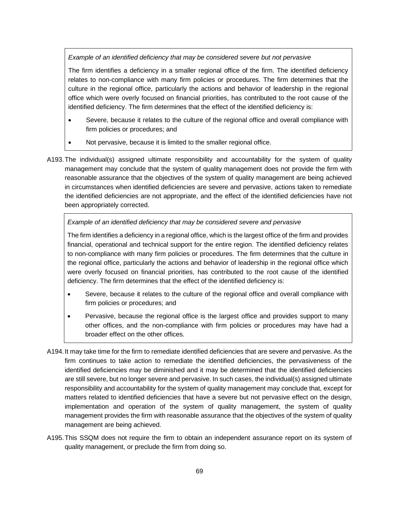*Example of an identified deficiency that may be considered severe but not pervasive*

The firm identifies a deficiency in a smaller regional office of the firm. The identified deficiency relates to non-compliance with many firm policies or procedures. The firm determines that the culture in the regional office, particularly the actions and behavior of leadership in the regional office which were overly focused on financial priorities, has contributed to the root cause of the identified deficiency. The firm determines that the effect of the identified deficiency is:

- Severe, because it relates to the culture of the regional office and overall compliance with firm policies or procedures; and
- Not pervasive, because it is limited to the smaller regional office.
- A193.The individual(s) assigned ultimate responsibility and accountability for the system of quality management may conclude that the system of quality management does not provide the firm with reasonable assurance that the objectives of the system of quality management are being achieved in circumstances when identified deficiencies are severe and pervasive, actions taken to remediate the identified deficiencies are not appropriate, and the effect of the identified deficiencies have not been appropriately corrected.

*Example of an identified deficiency that may be considered severe and pervasive* 

The firm identifies a deficiency in a regional office, which is the largest office of the firm and provides financial, operational and technical support for the entire region. The identified deficiency relates to non-compliance with many firm policies or procedures. The firm determines that the culture in the regional office, particularly the actions and behavior of leadership in the regional office which were overly focused on financial priorities, has contributed to the root cause of the identified deficiency. The firm determines that the effect of the identified deficiency is:

- Severe, because it relates to the culture of the regional office and overall compliance with firm policies or procedures; and
- Pervasive, because the regional office is the largest office and provides support to many other offices, and the non-compliance with firm policies or procedures may have had a broader effect on the other offices.
- A194.It may take time for the firm to remediate identified deficiencies that are severe and pervasive. As the firm continues to take action to remediate the identified deficiencies, the pervasiveness of the identified deficiencies may be diminished and it may be determined that the identified deficiencies are still severe, but no longer severe and pervasive. In such cases, the individual(s) assigned ultimate responsibility and accountability for the system of quality management may conclude that, except for matters related to identified deficiencies that have a severe but not pervasive effect on the design, implementation and operation of the system of quality management, the system of quality management provides the firm with reasonable assurance that the objectives of the system of quality management are being achieved.
- A195.This SSQM does not require the firm to obtain an independent assurance report on its system of quality management, or preclude the firm from doing so.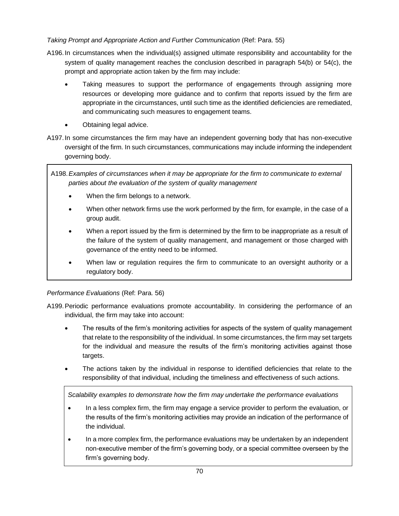# *Taking Prompt and Appropriate Action and Further Communication* (Ref: Para. 55)

- A196.In circumstances when the individual(s) assigned ultimate responsibility and accountability for the system of quality management reaches the conclusion described in paragraph 54(b) or 54(c), the prompt and appropriate action taken by the firm may include:
	- Taking measures to support the performance of engagements through assigning more resources or developing more guidance and to confirm that reports issued by the firm are appropriate in the circumstances, until such time as the identified deficiencies are remediated, and communicating such measures to engagement teams.
	- Obtaining legal advice.
- A197.In some circumstances the firm may have an independent governing body that has non-executive oversight of the firm. In such circumstances, communications may include informing the independent governing body.

A198.*Examples of circumstances when it may be appropriate for the firm to communicate to external parties about the evaluation of the system of quality management*

- When the firm belongs to a network.
- When other network firms use the work performed by the firm, for example, in the case of a group audit.
- When a report issued by the firm is determined by the firm to be inappropriate as a result of the failure of the system of quality management, and management or those charged with governance of the entity need to be informed.
- When law or regulation requires the firm to communicate to an oversight authority or a regulatory body.

# *Performance Evaluations* (Ref: Para. 56)

- A199.Periodic performance evaluations promote accountability. In considering the performance of an individual, the firm may take into account:
	- The results of the firm's monitoring activities for aspects of the system of quality management that relate to the responsibility of the individual. In some circumstances, the firm may set targets for the individual and measure the results of the firm's monitoring activities against those targets.
	- The actions taken by the individual in response to identified deficiencies that relate to the responsibility of that individual, including the timeliness and effectiveness of such actions.

*Scalability examples to demonstrate how the firm may undertake the performance evaluations*

- In a less complex firm, the firm may engage a service provider to perform the evaluation, or the results of the firm's monitoring activities may provide an indication of the performance of the individual.
- In a more complex firm, the performance evaluations may be undertaken by an independent non-executive member of the firm's governing body, or a special committee overseen by the firm's governing body.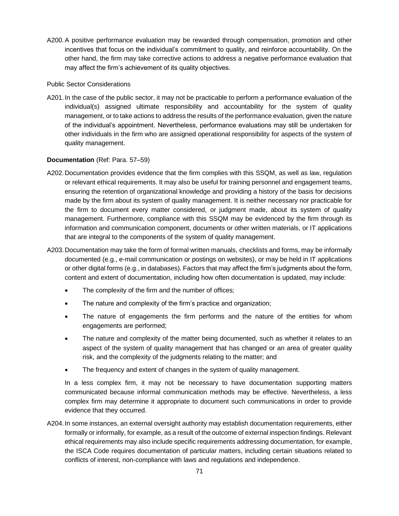A200.A positive performance evaluation may be rewarded through compensation, promotion and other incentives that focus on the individual's commitment to quality, and reinforce accountability. On the other hand, the firm may take corrective actions to address a negative performance evaluation that may affect the firm's achievement of its quality objectives.

### Public Sector Considerations

A201.In the case of the public sector, it may not be practicable to perform a performance evaluation of the individual(s) assigned ultimate responsibility and accountability for the system of quality management, or to take actions to address the results of the performance evaluation, given the nature of the individual's appointment. Nevertheless, performance evaluations may still be undertaken for other individuals in the firm who are assigned operational responsibility for aspects of the system of quality management.

### **Documentation** (Ref: Para. 57–59)

- A202.Documentation provides evidence that the firm complies with this SSQM, as well as law, regulation or relevant ethical requirements. It may also be useful for training personnel and engagement teams, ensuring the retention of organizational knowledge and providing a history of the basis for decisions made by the firm about its system of quality management. It is neither necessary nor practicable for the firm to document every matter considered, or judgment made, about its system of quality management. Furthermore, compliance with this SSQM may be evidenced by the firm through its information and communication component, documents or other written materials, or IT applications that are integral to the components of the system of quality management.
- A203.Documentation may take the form of formal written manuals, checklists and forms, may be informally documented (e.g., e-mail communication or postings on websites), or may be held in IT applications or other digital forms (e.g., in databases). Factors that may affect the firm's judgments about the form, content and extent of documentation, including how often documentation is updated, may include:
	- The complexity of the firm and the number of offices;
	- The nature and complexity of the firm's practice and organization;
	- The nature of engagements the firm performs and the nature of the entities for whom engagements are performed;
	- The nature and complexity of the matter being documented, such as whether it relates to an aspect of the system of quality management that has changed or an area of greater quality risk, and the complexity of the judgments relating to the matter; and
	- The frequency and extent of changes in the system of quality management.

In a less complex firm, it may not be necessary to have documentation supporting matters communicated because informal communication methods may be effective. Nevertheless, a less complex firm may determine it appropriate to document such communications in order to provide evidence that they occurred.

A204.In some instances, an external oversight authority may establish documentation requirements, either formally or informally, for example, as a result of the outcome of external inspection findings. Relevant ethical requirements may also include specific requirements addressing documentation, for example, the ISCA Code requires documentation of particular matters, including certain situations related to conflicts of interest, non-compliance with laws and regulations and independence.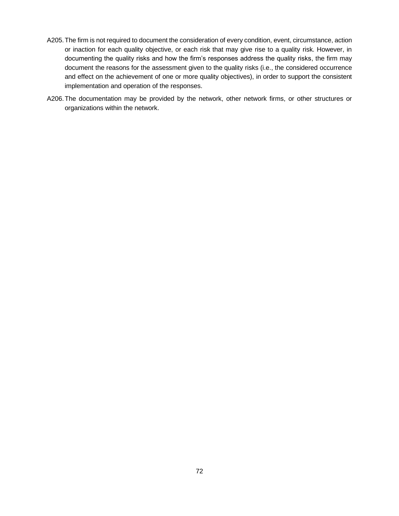- A205.The firm is not required to document the consideration of every condition, event, circumstance, action or inaction for each quality objective, or each risk that may give rise to a quality risk. However, in documenting the quality risks and how the firm's responses address the quality risks, the firm may document the reasons for the assessment given to the quality risks (i.e., the considered occurrence and effect on the achievement of one or more quality objectives), in order to support the consistent implementation and operation of the responses.
- A206.The documentation may be provided by the network, other network firms, or other structures or organizations within the network.